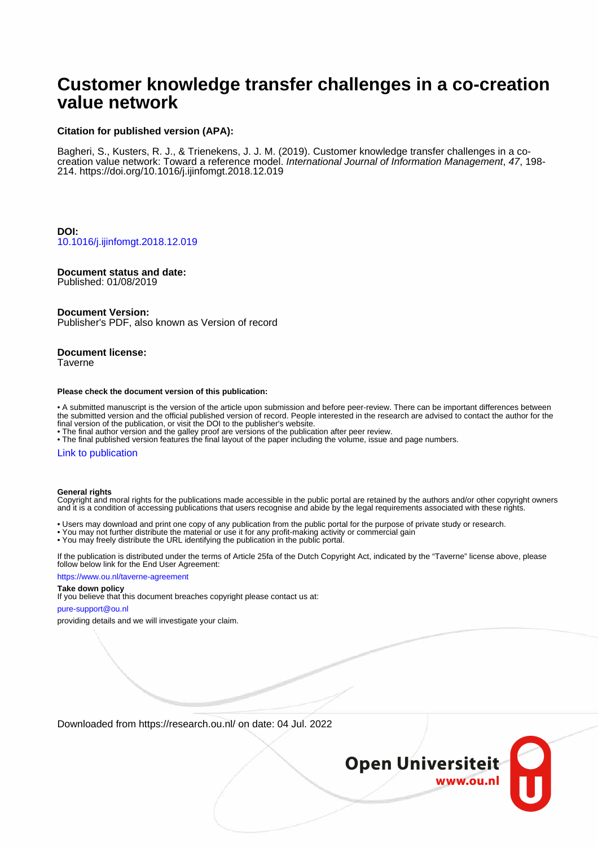# **Customer knowledge transfer challenges in a co-creation value network**

# **Citation for published version (APA):**

Bagheri, S., Kusters, R. J., & Trienekens, J. J. M. (2019). Customer knowledge transfer challenges in a cocreation value network: Toward a reference model. International Journal of Information Management, 47, 198-214.<https://doi.org/10.1016/j.ijinfomgt.2018.12.019>

**DOI:** [10.1016/j.ijinfomgt.2018.12.019](https://doi.org/10.1016/j.ijinfomgt.2018.12.019)

# **Document status and date:**

Published: 01/08/2019

# **Document Version:**

Publisher's PDF, also known as Version of record

# **Document license:**

Taverne

### **Please check the document version of this publication:**

• A submitted manuscript is the version of the article upon submission and before peer-review. There can be important differences between the submitted version and the official published version of record. People interested in the research are advised to contact the author for the final version of the publication, or visit the DOI to the publisher's website.

• The final author version and the galley proof are versions of the publication after peer review.

• The final published version features the final layout of the paper including the volume, issue and page numbers.

## [Link to publication](https://research.ou.nl/en/publications/26f767d8-4a25-47bf-8822-3e20d98b4f00)

## **General rights**

Copyright and moral rights for the publications made accessible in the public portal are retained by the authors and/or other copyright owners and it is a condition of accessing publications that users recognise and abide by the legal requirements associated with these rights.

- Users may download and print one copy of any publication from the public portal for the purpose of private study or research.
- You may not further distribute the material or use it for any profit-making activity or commercial gain
- You may freely distribute the URL identifying the publication in the public portal.

If the publication is distributed under the terms of Article 25fa of the Dutch Copyright Act, indicated by the "Taverne" license above, please follow below link for the End User Agreement:

## https://www.ou.nl/taverne-agreement

# **Take down policy**

If you believe that this document breaches copyright please contact us at:

### pure-support@ou.nl

providing details and we will investigate your claim.

Downloaded from https://research.ou.nl/ on date: 04 Jul. 2022

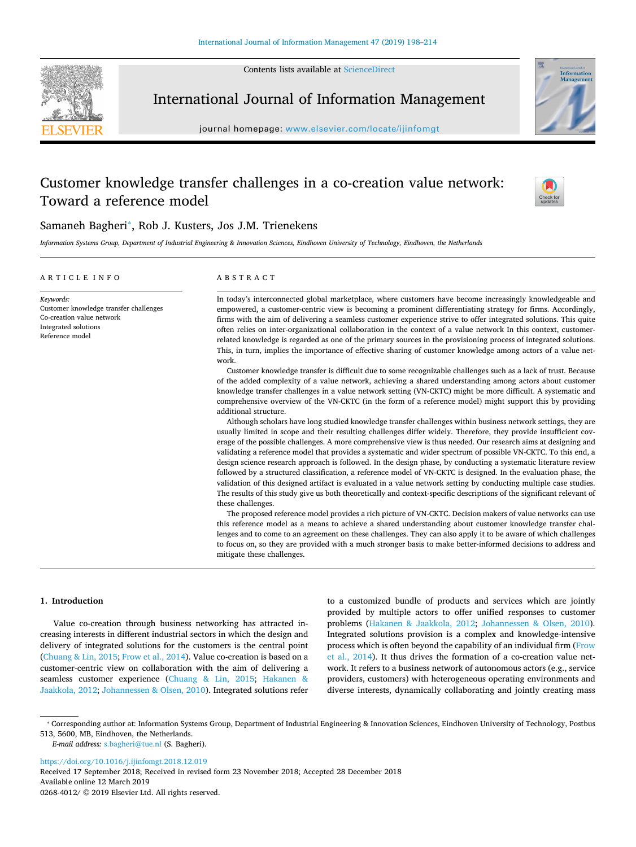Contents lists available at [ScienceDirect](http://www.sciencedirect.com/science/journal/02684012)



International Journal of Information Management

journal homepage: [www.elsevier.com/locate/ijinfomgt](https://www.elsevier.com/locate/ijinfomgt)

# Customer knowledge transfer challenges in a co-creation value network: Toward a reference model



# Samaneh Bagheri<sup>\*</sup>, Rob J. Kusters, Jos J.M. Trienekens

*Information Systems Group, Department of Industrial Engineering & Innovation Sciences, Eindhoven University of Technology, Eindhoven, the Netherlands*

#### ARTICLE INFO

ABSTRACT

*Keywords:* Customer knowledge transfer challenges Co-creation value network Integrated solutions Reference model

In today's interconnected global marketplace, where customers have become increasingly knowledgeable and empowered, a customer-centric view is becoming a prominent differentiating strategy for firms. Accordingly, firms with the aim of delivering a seamless customer experience strive to offer integrated solutions. This quite often relies on inter-organizational collaboration in the context of a value network In this context, customerrelated knowledge is regarded as one of the primary sources in the provisioning process of integrated solutions. This, in turn, implies the importance of effective sharing of customer knowledge among actors of a value network.

Customer knowledge transfer is difficult due to some recognizable challenges such as a lack of trust. Because of the added complexity of a value network, achieving a shared understanding among actors about customer knowledge transfer challenges in a value network setting (VN-CKTC) might be more difficult. A systematic and comprehensive overview of the VN-CKTC (in the form of a reference model) might support this by providing additional structure.

Although scholars have long studied knowledge transfer challenges within business network settings, they are usually limited in scope and their resulting challenges differ widely. Therefore, they provide insufficient coverage of the possible challenges. A more comprehensive view is thus needed. Our research aims at designing and validating a reference model that provides a systematic and wider spectrum of possible VN-CKTC. To this end, a design science research approach is followed. In the design phase, by conducting a systematic literature review followed by a structured classification, a reference model of VN-CKTC is designed. In the evaluation phase, the validation of this designed artifact is evaluated in a value network setting by conducting multiple case studies. The results of this study give us both theoretically and context-specific descriptions of the significant relevant of these challenges.

The proposed reference model provides a rich picture of VN-CKTC. Decision makers of value networks can use this reference model as a means to achieve a shared understanding about customer knowledge transfer challenges and to come to an agreement on these challenges. They can also apply it to be aware of which challenges to focus on, so they are provided with a much stronger basis to make better-informed decisions to address and mitigate these challenges.

#### <span id="page-1-1"></span>**1. Introduction**

Value co-creation through business networking has attracted increasing interests in different industrial sectors in which the design and delivery of integrated solutions for the customers is the central point ([Chuang & Lin, 2015](#page-16-0); [Frow et al., 2014\)](#page-16-1). Value co-creation is based on a customer-centric view on collaboration with the aim of delivering a seamless customer experience ([Chuang & Lin, 2015;](#page-16-0) [Hakanen &](#page-17-0) [Jaakkola, 2012](#page-17-0); [Johannessen & Olsen, 2010](#page-17-1)). Integrated solutions refer

to a customized bundle of products and services which are jointly provided by multiple actors to offer unified responses to customer problems ([Hakanen & Jaakkola, 2012](#page-17-0); [Johannessen & Olsen, 2010](#page-17-1)). Integrated solutions provision is a complex and knowledge-intensive process which is often beyond the capability of an individual firm ([Frow](#page-16-1) [et al., 2014\)](#page-16-1). It thus drives the formation of a co-creation value network. It refers to a business network of autonomous actors (e.g., service providers, customers) with heterogeneous operating environments and diverse interests, dynamically collaborating and jointly creating mass

*E-mail address:* [s.bagheri@tue.nl](mailto:s.bagheri@tue.nl) (S. Bagheri).

<https://doi.org/10.1016/j.ijinfomgt.2018.12.019>

Received 17 September 2018; Received in revised form 23 November 2018; Accepted 28 December 2018 Available online 12 March 2019 0268-4012/ © 2019 Elsevier Ltd. All rights reserved.

<span id="page-1-0"></span><sup>⁎</sup> Corresponding author at: Information Systems Group, Department of Industrial Engineering & Innovation Sciences, Eindhoven University of Technology, Postbus 513, 5600, MB, Eindhoven, the Netherlands.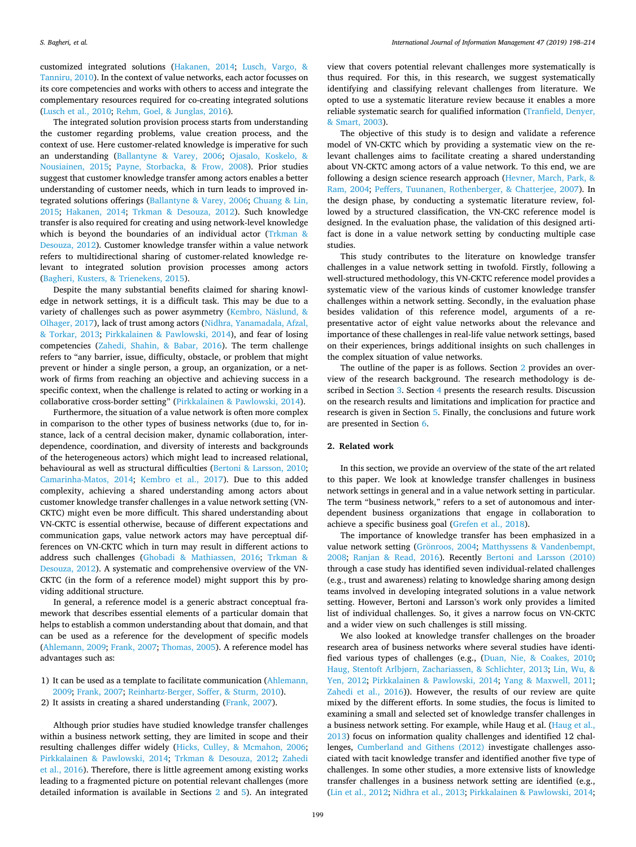customized integrated solutions [\(Hakanen, 2014;](#page-17-2) [Lusch, Vargo, &](#page-17-3) [Tanniru, 2010\)](#page-17-3). In the context of value networks, each actor focusses on its core competencies and works with others to access and integrate the complementary resources required for co-creating integrated solutions ([Lusch et al., 2010](#page-17-3); [Rehm, Goel, & Junglas, 2016](#page-17-4)).

The integrated solution provision process starts from understanding the customer regarding problems, value creation process, and the context of use. Here customer-related knowledge is imperative for such an understanding ([Ballantyne & Varey, 2006](#page-16-2); [Ojasalo, Koskelo, &](#page-17-5) [Nousiainen, 2015](#page-17-5); [Payne, Storbacka, & Frow, 2008](#page-17-6)). Prior studies suggest that customer knowledge transfer among actors enables a better understanding of customer needs, which in turn leads to improved integrated solutions offerings [\(Ballantyne & Varey, 2006](#page-16-2); [Chuang & Lin,](#page-16-0) [2015;](#page-16-0) [Hakanen, 2014;](#page-17-2) [Trkman & Desouza, 2012\)](#page-17-7). Such knowledge transfer is also required for creating and using network-level knowledge which is beyond the boundaries of an individual actor [\(Trkman &](#page-17-7) [Desouza, 2012\)](#page-17-7). Customer knowledge transfer within a value network refers to multidirectional sharing of customer-related knowledge relevant to integrated solution provision processes among actors ([Bagheri, Kusters, & Trienekens, 2015\)](#page-16-3).

Despite the many substantial benefits claimed for sharing knowledge in network settings, it is a difficult task. This may be due to a variety of challenges such as power asymmetry ([Kembro, Näslund, &](#page-17-8) [Olhager, 2017\)](#page-17-8), lack of trust among actors ([Nidhra, Yanamadala, Afzal,](#page-17-9) [& Torkar, 2013](#page-17-9); [Pirkkalainen & Pawlowski, 2014](#page-17-10)), and fear of losing competencies [\(Zahedi, Shahin, & Babar, 2016\)](#page-17-11). The term challenge refers to "any barrier, issue, difficulty, obstacle, or problem that might prevent or hinder a single person, a group, an organization, or a network of firms from reaching an objective and achieving success in a specific context, when the challenge is related to acting or working in a collaborative cross-border setting" [\(Pirkkalainen & Pawlowski, 2014](#page-17-10)).

Furthermore, the situation of a value network is often more complex in comparison to the other types of business networks (due to, for instance, lack of a central decision maker, dynamic collaboration, interdependence, coordination, and diversity of interests and backgrounds of the heterogeneous actors) which might lead to increased relational, behavioural as well as structural difficulties ([Bertoni & Larsson, 2010](#page-16-4); [Camarinha-Matos, 2014;](#page-16-5) [Kembro et al., 2017](#page-17-8)). Due to this added complexity, achieving a shared understanding among actors about customer knowledge transfer challenges in a value network setting (VN-CKTC) might even be more difficult. This shared understanding about VN-CKTC is essential otherwise, because of different expectations and communication gaps, value network actors may have perceptual differences on VN-CKTC which in turn may result in different actions to address such challenges [\(Ghobadi & Mathiassen, 2016;](#page-16-6) [Trkman &](#page-17-7) [Desouza, 2012\)](#page-17-7). A systematic and comprehensive overview of the VN-CKTC (in the form of a reference model) might support this by providing additional structure.

In general, a reference model is a generic abstract conceptual framework that describes essential elements of a particular domain that helps to establish a common understanding about that domain, and that can be used as a reference for the development of specific models ([Ahlemann, 2009](#page-16-7); [Frank, 2007;](#page-16-8) [Thomas, 2005\)](#page-17-12). A reference model has advantages such as:

# 1) It can be used as a template to facilitate communication [\(Ahlemann,](#page-16-7) [2009](#page-16-7); [Frank, 2007](#page-16-8); [Reinhartz-Berger, Soffer, & Sturm, 2010\)](#page-17-13).

2) It assists in creating a shared understanding ([Frank, 2007\)](#page-16-8).

Although prior studies have studied knowledge transfer challenges within a business network setting, they are limited in scope and their resulting challenges differ widely [\(Hicks, Culley, & Mcmahon, 2006](#page-17-14); [Pirkkalainen & Pawlowski, 2014;](#page-17-10) [Trkman & Desouza, 2012](#page-17-7); [Zahedi](#page-17-11) [et al., 2016\)](#page-17-11). Therefore, there is little agreement among existing works leading to a fragmented picture on potential relevant challenges (more detailed information is available in Sections [2](#page-2-0) and [5\)](#page-9-0). An integrated

view that covers potential relevant challenges more systematically is thus required. For this, in this research, we suggest systematically identifying and classifying relevant challenges from literature. We opted to use a systematic literature review because it enables a more reliable systematic search for qualified information [\(Tranfield, Denyer,](#page-17-15) [& Smart, 2003](#page-17-15)).

The objective of this study is to design and validate a reference model of VN-CKTC which by providing a systematic view on the relevant challenges aims to facilitate creating a shared understanding about VN-CKTC among actors of a value network. To this end, we are following a design science research approach [\(Hevner, March, Park, &](#page-17-16) [Ram, 2004;](#page-17-16) [Peffers, Tuunanen, Rothenberger, & Chatterjee, 2007](#page-17-17)). In the design phase, by conducting a systematic literature review, followed by a structured classification, the VN-CKC reference model is designed. In the evaluation phase, the validation of this designed artifact is done in a value network setting by conducting multiple case studies.

This study contributes to the literature on knowledge transfer challenges in a value network setting in twofold. Firstly, following a well-structured methodology, this VN-CKTC reference model provides a systematic view of the various kinds of customer knowledge transfer challenges within a network setting. Secondly, in the evaluation phase besides validation of this reference model, arguments of a representative actor of eight value networks about the relevance and importance of these challenges in real-life value network settings, based on their experiences, brings additional insights on such challenges in the complex situation of value networks.

The outline of the paper is as follows. Section [2](#page-2-0) provides an overview of the research background. The research methodology is described in Section [3](#page-3-0). Section [4](#page-8-0) presents the research results. Discussion on the research results and limitations and implication for practice and research is given in Section [5](#page-9-0). Finally, the conclusions and future work are presented in Section [6.](#page-14-0)

### <span id="page-2-0"></span>**2. Related work**

In this section, we provide an overview of the state of the art related to this paper. We look at knowledge transfer challenges in business network settings in general and in a value network setting in particular. The term "business network," refers to a set of autonomous and interdependent business organizations that engage in collaboration to achieve a specific business goal [\(Grefen et al., 2018](#page-17-18)).

The importance of knowledge transfer has been emphasized in a value network setting ([Grönroos, 2004](#page-17-19); [Matthyssens & Vandenbempt,](#page-17-20) [2008;](#page-17-20) [Ranjan & Read, 2016\)](#page-17-21). Recently [Bertoni and Larsson \(2010\)](#page-16-4) through a case study has identified seven individual-related challenges (e.g., trust and awareness) relating to knowledge sharing among design teams involved in developing integrated solutions in a value network setting. However, Bertoni and Larsson's work only provides a limited list of individual challenges. So, it gives a narrow focus on VN-CKTC and a wider view on such challenges is still missing.

We also looked at knowledge transfer challenges on the broader research area of business networks where several studies have identified various types of challenges (e.g., [\(Duan, Nie, & Coakes, 2010](#page-16-9); [Haug, Stentoft Arlbjørn, Zachariassen, & Schlichter, 2013](#page-17-22); [Lin, Wu, &](#page-17-23) [Yen, 2012](#page-17-23); [Pirkkalainen & Pawlowski, 2014;](#page-17-10) [Yang & Maxwell, 2011](#page-17-24); [Zahedi et al., 2016\)](#page-17-11)). However, the results of our review are quite mixed by the different efforts. In some studies, the focus is limited to examining a small and selected set of knowledge transfer challenges in a business network setting. For example, while Haug et al. [\(Haug et al.,](#page-17-22) [2013\)](#page-17-22) focus on information quality challenges and identified 12 challenges, [Cumberland and Githens \(2012\)](#page-16-10) investigate challenges associated with tacit knowledge transfer and identified another five type of challenges. In some other studies, a more extensive lists of knowledge transfer challenges in a business network setting are identified (e.g., ([Lin et al., 2012;](#page-17-23) [Nidhra et al., 2013](#page-17-9); [Pirkkalainen & Pawlowski, 2014](#page-17-10);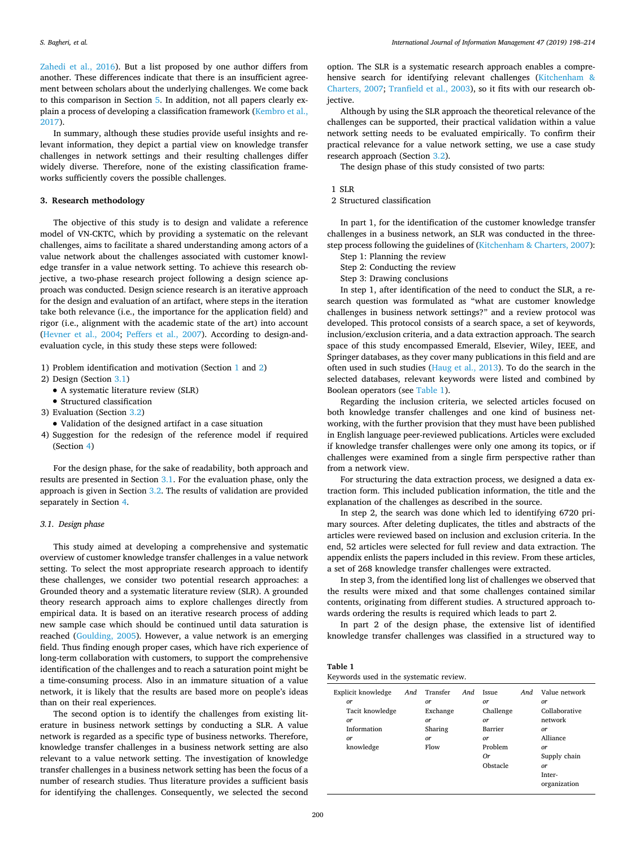*S. Bagheri, et al. International Journal of Information Management 47 (2019) 198–214*

[Zahedi et al., 2016\)](#page-17-11). But a list proposed by one author differs from another. These differences indicate that there is an insufficient agreement between scholars about the underlying challenges. We come back to this comparison in Section [5.](#page-9-0) In addition, not all papers clearly explain a process of developing a classification framework [\(Kembro et al.,](#page-17-8) [2017\)](#page-17-8).

In summary, although these studies provide useful insights and relevant information, they depict a partial view on knowledge transfer challenges in network settings and their resulting challenges differ widely diverse. Therefore, none of the existing classification frameworks sufficiently covers the possible challenges.

#### <span id="page-3-0"></span>**3. Research methodology**

The objective of this study is to design and validate a reference model of VN-CKTC, which by providing a systematic on the relevant challenges, aims to facilitate a shared understanding among actors of a value network about the challenges associated with customer knowledge transfer in a value network setting. To achieve this research objective, a two-phase research project following a design science approach was conducted. Design science research is an iterative approach for the design and evaluation of an artifact, where steps in the iteration take both relevance (i.e., the importance for the application field) and rigor (i.e., alignment with the academic state of the art) into account ([Hevner et al., 2004;](#page-17-16) [Peffers et al., 2007\)](#page-17-17). According to design-andevaluation cycle, in this study these steps were followed:

- 1) Problem identification and motivation (Section [1](#page-1-1) and [2](#page-2-0))
- 2) Design (Section [3.1](#page-3-1))
	- A systematic literature review (SLR)
	- Structured classification
- 3) Evaluation (Section [3.2](#page-4-0))
	- Validation of the designed artifact in a case situation

4) Suggestion for the redesign of the reference model if required (Section [4](#page-8-0))

For the design phase, for the sake of readability, both approach and results are presented in Section [3.1](#page-3-1). For the evaluation phase, only the approach is given in Section [3.2.](#page-4-0) The results of validation are provided separately in Section [4.](#page-8-0)

#### <span id="page-3-1"></span>*3.1. Design phase*

This study aimed at developing a comprehensive and systematic overview of customer knowledge transfer challenges in a value network setting. To select the most appropriate research approach to identify these challenges, we consider two potential research approaches: a Grounded theory and a systematic literature review (SLR). A grounded theory research approach aims to explore challenges directly from empirical data. It is based on an iterative research process of adding new sample case which should be continued until data saturation is reached ([Goulding, 2005](#page-16-11)). However, a value network is an emerging field. Thus finding enough proper cases, which have rich experience of long-term collaboration with customers, to support the comprehensive identification of the challenges and to reach a saturation point might be a time-consuming process. Also in an immature situation of a value network, it is likely that the results are based more on people's ideas than on their real experiences.

The second option is to identify the challenges from existing literature in business network settings by conducting a SLR. A value network is regarded as a specific type of business networks. Therefore, knowledge transfer challenges in a business network setting are also relevant to a value network setting. The investigation of knowledge transfer challenges in a business network setting has been the focus of a number of research studies. Thus literature provides a sufficient basis for identifying the challenges. Consequently, we selected the second

option. The SLR is a systematic research approach enables a comprehensive search for identifying relevant challenges ([Kitchenham &](#page-17-25) [Charters, 2007](#page-17-25); [Tranfield et al., 2003](#page-17-15)), so it fits with our research objective.

Although by using the SLR approach the theoretical relevance of the challenges can be supported, their practical validation within a value network setting needs to be evaluated empirically. To confirm their practical relevance for a value network setting, we use a case study research approach (Section [3.2\)](#page-4-0).

The design phase of this study consisted of two parts:

#### 1 SLR

#### 2 Structured classification

In part 1, for the identification of the customer knowledge transfer challenges in a business network, an SLR was conducted in the threestep process following the guidelines of ([Kitchenham & Charters, 2007](#page-17-25)):

- Step 1: Planning the review
- Step 2: Conducting the review
- Step 3: Drawing conclusions

In step 1, after identification of the need to conduct the SLR, a research question was formulated as "what are customer knowledge challenges in business network settings?" and a review protocol was developed. This protocol consists of a search space, a set of keywords, inclusion/exclusion criteria, and a data extraction approach. The search space of this study encompassed Emerald, Elsevier, Wiley, IEEE, and Springer databases, as they cover many publications in this field and are often used in such studies [\(Haug et al., 2013\)](#page-17-22). To do the search in the selected databases, relevant keywords were listed and combined by Boolean operators (see [Table 1\)](#page-3-2).

Regarding the inclusion criteria, we selected articles focused on both knowledge transfer challenges and one kind of business networking, with the further provision that they must have been published in English language peer-reviewed publications. Articles were excluded if knowledge transfer challenges were only one among its topics, or if challenges were examined from a single firm perspective rather than from a network view.

For structuring the data extraction process, we designed a data extraction form. This included publication information, the title and the explanation of the challenges as described in the source.

In step 2, the search was done which led to identifying 6720 primary sources. After deleting duplicates, the titles and abstracts of the articles were reviewed based on inclusion and exclusion criteria. In the end, 52 articles were selected for full review and data extraction. The appendix enlists the papers included in this review. From these articles, a set of 268 knowledge transfer challenges were extracted.

In step 3, from the identified long list of challenges we observed that the results were mixed and that some challenges contained similar contents, originating from different studies. A structured approach towards ordering the results is required which leads to part 2.

In part 2 of the design phase, the extensive list of identified knowledge transfer challenges was classified in a structured way to

<span id="page-3-2"></span>

| Table 1 |  |                                         |  |
|---------|--|-----------------------------------------|--|
|         |  | Keywords used in the systematic review. |  |

| Explicit knowledge<br>And<br>Transfer<br>And<br>or<br>or<br>or<br>Tacit knowledge<br>Exchange<br>or<br>or<br>or<br>Information<br>Sharing<br>or<br>or<br>or<br>knowledge<br>Flow<br>0r | Value network<br><b>Issue</b><br>And<br>or<br>Collaborative<br>Challenge<br>network<br>Barrier<br>or<br>Alliance<br>Problem<br>or<br>Supply chain<br>Obstacle<br>or<br>Inter-<br>organization |
|----------------------------------------------------------------------------------------------------------------------------------------------------------------------------------------|-----------------------------------------------------------------------------------------------------------------------------------------------------------------------------------------------|
|----------------------------------------------------------------------------------------------------------------------------------------------------------------------------------------|-----------------------------------------------------------------------------------------------------------------------------------------------------------------------------------------------|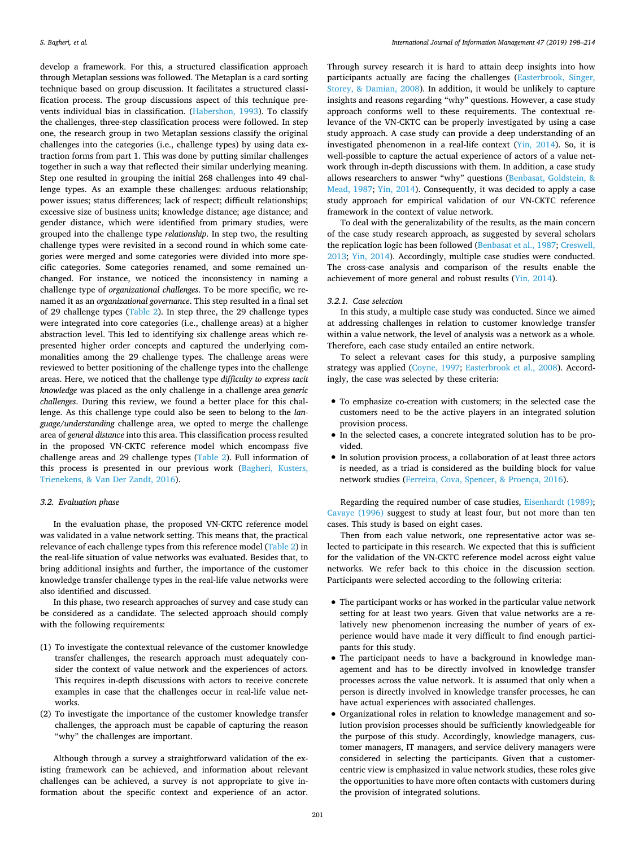develop a framework. For this, a structured classification approach through Metaplan sessions was followed. The Metaplan is a card sorting technique based on group discussion. It facilitates a structured classification process. The group discussions aspect of this technique prevents individual bias in classification. [\(Habershon, 1993\)](#page-17-26). To classify the challenges, three-step classification process were followed. In step one, the research group in two Metaplan sessions classify the original challenges into the categories (i.e., challenge types) by using data extraction forms from part 1. This was done by putting similar challenges together in such a way that reflected their similar underlying meaning. Step one resulted in grouping the initial 268 challenges into 49 challenge types. As an example these challenges: arduous relationship; power issues; status differences; lack of respect; difficult relationships; excessive size of business units; knowledge distance; age distance; and gender distance, which were identified from primary studies, were grouped into the challenge type *relationship*. In step two, the resulting challenge types were revisited in a second round in which some categories were merged and some categories were divided into more specific categories. Some categories renamed, and some remained unchanged. For instance, we noticed the inconsistency in naming a challenge type of *organizational challenges*. To be more specific, we renamed it as an *organizational governance*. This step resulted in a final set of 29 challenge types ([Table 2\)](#page-5-0). In step three, the 29 challenge types were integrated into core categories (i.e., challenge areas) at a higher abstraction level. This led to identifying six challenge areas which represented higher order concepts and captured the underlying commonalities among the 29 challenge types. The challenge areas were reviewed to better positioning of the challenge types into the challenge areas. Here, we noticed that the challenge type *difficulty to express tacit knowledge* was placed as the only challenge in a challenge area *generic challenges*. During this review, we found a better place for this challenge. As this challenge type could also be seen to belong to the *language/understanding* challenge area, we opted to merge the challenge area of *general distance* into this area. This classification process resulted in the proposed VN-CKTC reference model which encompass five challenge areas and 29 challenge types ([Table 2\)](#page-5-0). Full information of this process is presented in our previous work [\(Bagheri, Kusters,](#page-16-12) [Trienekens, & Van Der Zandt, 2016](#page-16-12)).

#### <span id="page-4-0"></span>*3.2. Evaluation phase*

In the evaluation phase, the proposed VN-CKTC reference model was validated in a value network setting. This means that, the practical relevance of each challenge types from this reference model ([Table 2\)](#page-5-0) in the real-life situation of value networks was evaluated. Besides that, to bring additional insights and further, the importance of the customer knowledge transfer challenge types in the real-life value networks were also identified and discussed.

In this phase, two research approaches of survey and case study can be considered as a candidate. The selected approach should comply with the following requirements:

- (1) To investigate the contextual relevance of the customer knowledge transfer challenges, the research approach must adequately consider the context of value network and the experiences of actors. This requires in-depth discussions with actors to receive concrete examples in case that the challenges occur in real-life value networks.
- (2) To investigate the importance of the customer knowledge transfer challenges, the approach must be capable of capturing the reason "why" the challenges are important.

Although through a survey a straightforward validation of the existing framework can be achieved, and information about relevant challenges can be achieved, a survey is not appropriate to give information about the specific context and experience of an actor. Through survey research it is hard to attain deep insights into how participants actually are facing the challenges ([Easterbrook, Singer,](#page-16-13) [Storey, & Damian, 2008](#page-16-13)). In addition, it would be unlikely to capture insights and reasons regarding "why" questions. However, a case study approach conforms well to these requirements. The contextual relevance of the VN-CKTC can be properly investigated by using a case study approach. A case study can provide a deep understanding of an investigated phenomenon in a real-life context [\(Yin, 2014](#page-17-27)). So, it is well-possible to capture the actual experience of actors of a value network through in-depth discussions with them. In addition, a case study allows researchers to answer "why" questions ([Benbasat, Goldstein, &](#page-16-14) [Mead, 1987;](#page-16-14) [Yin, 2014\)](#page-17-27). Consequently, it was decided to apply a case study approach for empirical validation of our VN-CKTC reference framework in the context of value network.

To deal with the generalizability of the results, as the main concern of the case study research approach, as suggested by several scholars the replication logic has been followed ([Benbasat et al., 1987](#page-16-14); [Creswell,](#page-16-15) [2013;](#page-16-15) [Yin, 2014\)](#page-17-27). Accordingly, multiple case studies were conducted. The cross-case analysis and comparison of the results enable the achievement of more general and robust results [\(Yin, 2014](#page-17-27)).

#### *3.2.1. Case selection*

In this study, a multiple case study was conducted. Since we aimed at addressing challenges in relation to customer knowledge transfer within a value network, the level of analysis was a network as a whole. Therefore, each case study entailed an entire network.

To select a relevant cases for this study, a purposive sampling strategy was applied ([Coyne, 1997;](#page-16-16) [Easterbrook et al., 2008](#page-16-13)). Accordingly, the case was selected by these criteria:

- To emphasize co-creation with customers; in the selected case the customers need to be the active players in an integrated solution provision process.
- In the selected cases, a concrete integrated solution has to be provided.
- In solution provision process, a collaboration of at least three actors is needed, as a triad is considered as the building block for value network studies [\(Ferreira, Cova, Spencer, & Proença, 2016](#page-16-17)).

Regarding the required number of case studies, [Eisenhardt \(1989\)](#page-16-18); [Cavaye \(1996\)](#page-16-19) suggest to study at least four, but not more than ten cases. This study is based on eight cases.

Then from each value network, one representative actor was selected to participate in this research. We expected that this is sufficient for the validation of the VN-CKTC reference model across eight value networks. We refer back to this choice in the discussion section. Participants were selected according to the following criteria:

- The participant works or has worked in the particular value network setting for at least two years. Given that value networks are a relatively new phenomenon increasing the number of years of experience would have made it very difficult to find enough participants for this study.
- The participant needs to have a background in knowledge management and has to be directly involved in knowledge transfer processes across the value network. It is assumed that only when a person is directly involved in knowledge transfer processes, he can have actual experiences with associated challenges.
- Organizational roles in relation to knowledge management and solution provision processes should be sufficiently knowledgeable for the purpose of this study. Accordingly, knowledge managers, customer managers, IT managers, and service delivery managers were considered in selecting the participants. Given that a customercentric view is emphasized in value network studies, these roles give the opportunities to have more often contacts with customers during the provision of integrated solutions.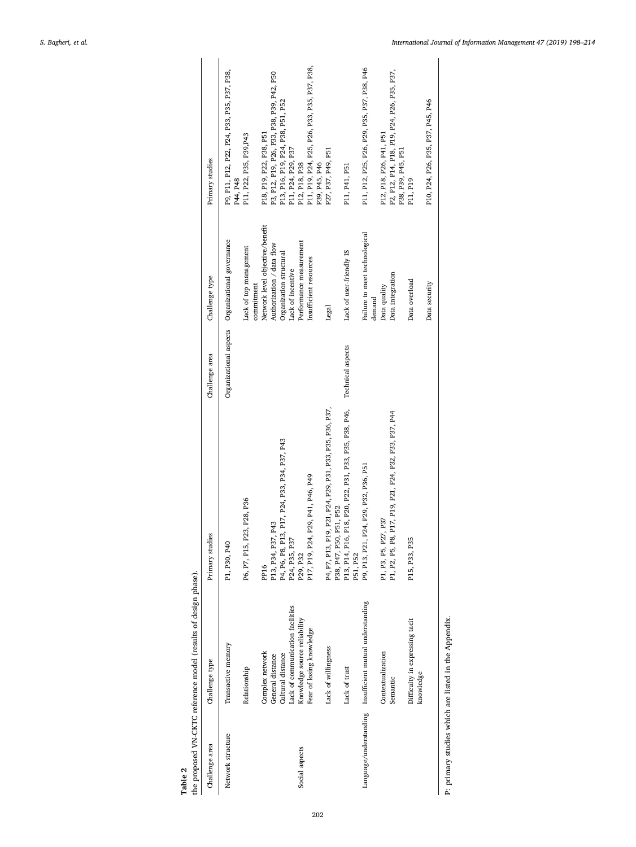<span id="page-5-0"></span>

| Challenge area    | Challenge type                                           | Primary studies                                                                      | Challenge area         | Challenge type                       | Primary studies                                                   |
|-------------------|----------------------------------------------------------|--------------------------------------------------------------------------------------|------------------------|--------------------------------------|-------------------------------------------------------------------|
| Network structure | Transactive memory                                       | P1, P30, P40                                                                         | Organizational aspects | Organizational governance            | P9, P11, P12, P22, P24, P33, P35, P37, P38,<br>P44, P48           |
|                   | Relationship                                             | P6, P7, P15, P23, P28, P36                                                           |                        | Lack of top management<br>commitment | P11, P22, P35, P39, P43                                           |
|                   | Complex network                                          | PP <sub>16</sub>                                                                     |                        | Network level objective/benefit      | P18, P19, P22, P38, P51                                           |
|                   | General distance                                         | P13, P34, P37, P43                                                                   |                        | Authorization / data flow            | P3, P12, P19, P26, P33, P38, P39, P42, P50                        |
|                   | Cultural distance                                        | P4, P6, P8, P13, P17, P24, P33, P34, P37, P43                                        |                        | Organization structural              | P13, P16, P19, P24, P38, P51, P52                                 |
|                   | Lack of communication facilities                         | P24, P35, P37                                                                        |                        | Lack of incentive                    | P11, P24, P29, P37                                                |
| Social aspects    | Knowledge source reliability                             | P29, P32                                                                             |                        | Performance measurement              | P12, P18, P38                                                     |
|                   | Fear of losing knowledge                                 | P17, P19, P24, P29, P41, P46, P49                                                    |                        | Insufficient resources               | P11, P19, P24, P25, P26, P33, P35, P37, P38,                      |
|                   |                                                          |                                                                                      |                        |                                      | P39, P45, P46                                                     |
|                   | Lack of willingness                                      | P4, P7, P13, P19, P21, P24, P29, P31, P33, P35, P36, P37,<br>P38, P47, P50, P51, P52 |                        | Legal                                | P27, P37, P49, P51                                                |
|                   | Lack of trust                                            | P18, P20, P22, P31, P33, P35, P38, P46,<br>P13, P14, P16,<br>P51, P52                | Technical aspects      | Lack of user-friendly IS             | P11, P41, P51                                                     |
|                   | Language/understanding Insufficient mutual understanding | P9, P13, P21, P24, P29, P32, P36, P51                                                |                        | Failure to meet technological        | P11, P12, P25, P26, P29, P35, P37, P38, P46                       |
|                   |                                                          |                                                                                      |                        | demand                               |                                                                   |
|                   | Contextualization                                        | P1, P3, P5, P27, P37                                                                 |                        | Data quality                         | P12, P18, P26, P41, P51                                           |
|                   | Semantic                                                 | P17, P19, P21, P24, P32, P33, P37, P44<br>P1, P2, P5, P8,                            |                        | Data integration                     | P2, P12, P14, P18, P19, P24, P26, P35, P37,<br>P38, P39, P45, P51 |
|                   | Difficulty in expressing tacit<br>knowledge              | P15, P33, P35                                                                        |                        | Data overload                        | P11, P19                                                          |
|                   |                                                          |                                                                                      |                        | Data security                        | P10, P24, P26, P35, P37, P45, P46                                 |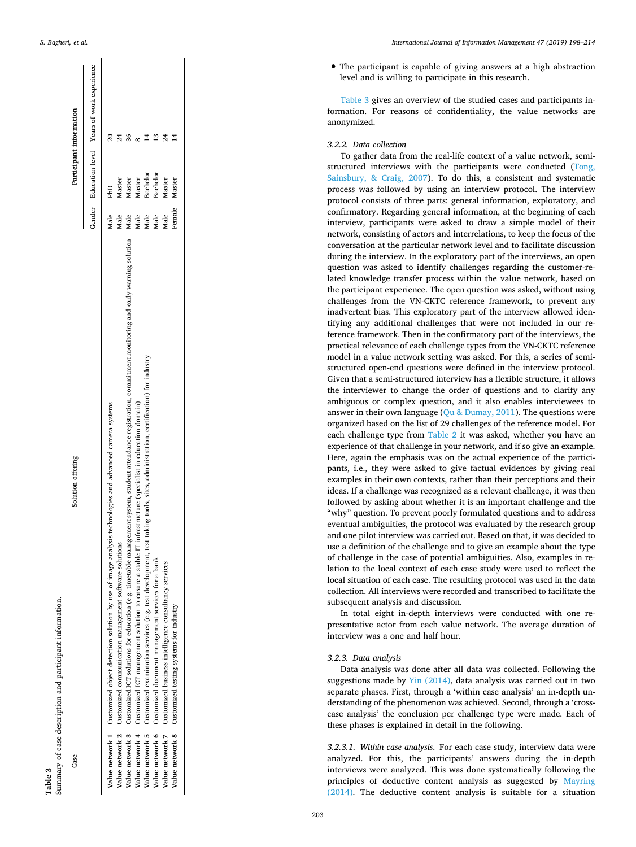<span id="page-6-0"></span>

| Case            | Solution offering                                                                                                                                           |        |               | Participant information                         |
|-----------------|-------------------------------------------------------------------------------------------------------------------------------------------------------------|--------|---------------|-------------------------------------------------|
|                 |                                                                                                                                                             |        |               | Gender Education level Years of work experience |
|                 | Value network 1 Customized object detection solution by use of image analysis technologies and advanced camera systems                                      | Male   | PhD           |                                                 |
|                 | Value network 2 Customized communication management software solutions                                                                                      | Male   | Vaster        |                                                 |
| Value network 3 | Customized ICT solutions for education (e.g. timetable management system, student attendance registration, commitment monitoring and early warning solution | Male   | Master        |                                                 |
| Value network 4 | Customized ICT management solution to ensure a stable IT infrastructure (specialist in education domain)                                                    | Male   | Master        |                                                 |
| Value network 5 | Customized examination services (e.g. test development, test taking tools, sites, administration, certification) for industry                               | Male   | Bachelor      |                                                 |
| Value network 6 | Customized document management services for a bank                                                                                                          | Male   | Bachelor      |                                                 |
| Value network 7 | Customized business intelligence consultancy services                                                                                                       | Male   | <b>Master</b> |                                                 |
|                 | Value network 8 Customized testing systems for industry                                                                                                     | Female | Master        |                                                 |

• The participant is capable of giving answers at a high abstraction level and is willing to participate in this research.

[Table 3](#page-6-0) gives an overview of the studied cases and participants information. For reasons of confidentiality, the value networks are anonymized.

#### *3.2.2. Data collection*

To gather data from the real-life context of a value network, semistructured interviews with the participants were conducted ([Tong,](#page-17-28) [Sainsbury, & Craig, 2007\)](#page-17-28). To do this, a consistent and systematic process was followed by using an interview protocol. The interview protocol consists of three parts: general information, exploratory, and confirmatory. Regarding general information, at the beginning of each interview, participants were asked to draw a simple model of their network, consisting of actors and interrelations, to keep the focus of the conversation at the particular network level and to facilitate discussion during the interview. In the exploratory part of the interviews, an open question was asked to identify challenges regarding the customer-related knowledge transfer process within the value network, based on the participant experience. The open question was asked, without using challenges from the VN-CKTC reference framework, to prevent any inadvertent bias. This exploratory part of the interview allowed identifying any additional challenges that were not included in our reference framework. Then in the confirmatory part of the interviews, the practical relevance of each challenge types from the VN-CKTC reference model in a value network setting was asked. For this, a series of semistructured open-end questions were defined in the interview protocol. Given that a semi-structured interview has a flexible structure, it allows the interviewer to change the order of questions and to clarify any ambiguous or complex question, and it also enables interviewees to answer in their own language ( $Qu & Dumay$ , 2011). The questions were organized based on the list of 29 challenges of the reference model. For each challenge type from [Table 2](#page-5-0) it was asked, whether you have an experience of that challenge in your network, and if so give an example. Here, again the emphasis was on the actual experience of the participants, i.e., they were asked to give factual evidences by giving real examples in their own contexts, rather than their perceptions and their ideas. If a challenge was recognized as a relevant challenge, it was then followed by asking about whether it is an important challenge and the "why" question. To prevent poorly formulated questions and to address eventual ambiguities, the protocol was evaluated by the research group and one pilot interview was carried out. Based on that, it was decided to use a definition of the challenge and to give an example about the type of challenge in the case of potential ambiguities. Also, examples in relation to the local context of each case study were used to reflect the local situation of each case. The resulting protocol was used in the data collection. All interviews were recorded and transcribed to facilitate the subsequent analysis and discussion.

In total eight in-depth interviews were conducted with one representative actor from each value network. The average duration of interview was a one and half hour.

#### <span id="page-6-1"></span>*3.2.3. Data analysis*

Data analysis was done after all data was collected. Following the suggestions made by [Yin \(2014\)](#page-17-27), data analysis was carried out in two separate phases. First, through a 'within case analysis' an in-depth understanding of the phenomenon was achieved. Second, through a 'crosscase analysis' the conclusion per challenge type were made. Each of these phases is explained in detail in the following.

*3.2.3.1. Within case analysis*. For each case study, interview data were analyzed. For this, the participants' answers during the in-depth interviews were analyzed. This was done systematically following the principles of deductive content analysis as suggested by [Mayring](#page-17-30) [\(2014\).](#page-17-30) The deductive content analysis is suitable for a situation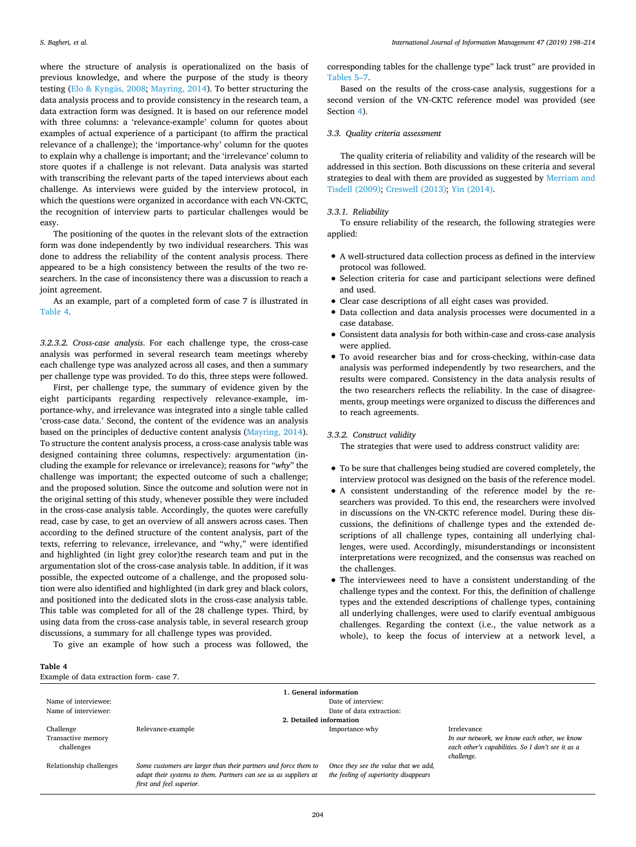where the structure of analysis is operationalized on the basis of previous knowledge, and where the purpose of the study is theory testing ([Elo & Kyngäs, 2008;](#page-16-20) [Mayring, 2014\)](#page-17-30). To better structuring the data analysis process and to provide consistency in the research team, a data extraction form was designed. It is based on our reference model with three columns: a 'relevance-example' column for quotes about examples of actual experience of a participant (to affirm the practical relevance of a challenge); the 'importance-why' column for the quotes to explain why a challenge is important; and the 'irrelevance' column to store quotes if a challenge is not relevant. Data analysis was started with transcribing the relevant parts of the taped interviews about each challenge. As interviews were guided by the interview protocol, in which the questions were organized in accordance with each VN-CKTC, the recognition of interview parts to particular challenges would be easy.

The positioning of the quotes in the relevant slots of the extraction form was done independently by two individual researchers. This was done to address the reliability of the content analysis process. There appeared to be a high consistency between the results of the two researchers. In the case of inconsistency there was a discussion to reach a joint agreement.

As an example, part of a completed form of case 7 is illustrated in [Table 4](#page-7-0).

*3.2.3.2. Cross-case analysis*. For each challenge type, the cross-case analysis was performed in several research team meetings whereby each challenge type was analyzed across all cases, and then a summary per challenge type was provided. To do this, three steps were followed.

First, per challenge type, the summary of evidence given by the eight participants regarding respectively relevance-example, importance-why, and irrelevance was integrated into a single table called 'cross-case data.' Second, the content of the evidence was an analysis based on the principles of deductive content analysis [\(Mayring, 2014](#page-17-30)). To structure the content analysis process, a cross-case analysis table was designed containing three columns, respectively: argumentation (including the example for relevance or irrelevance); reasons for "*why*" the challenge was important; the expected outcome of such a challenge; and the proposed solution. Since the outcome and solution were not in the original setting of this study, whenever possible they were included in the cross-case analysis table. Accordingly, the quotes were carefully read, case by case, to get an overview of all answers across cases. Then according to the defined structure of the content analysis, part of the texts, referring to relevance, irrelevance, and "why," were identified and highlighted (in light grey color)the research team and put in the argumentation slot of the cross-case analysis table. In addition, if it was possible, the expected outcome of a challenge, and the proposed solution were also identified and highlighted (in dark grey and black colors, and positioned into the dedicated slots in the cross-case analysis table. This table was completed for all of the 28 challenge types. Third, by using data from the cross-case analysis table, in several research group discussions, a summary for all challenge types was provided.

To give an example of how such a process was followed, the

corresponding tables for the challenge type" lack trust" are provided in [Tables 5–7.](#page-8-1)

Based on the results of the cross-case analysis, suggestions for a second version of the VN-CKTC reference model was provided (see Section [4](#page-8-0)).

#### *3.3. Quality criteria assessment*

The quality criteria of reliability and validity of the research will be addressed in this section. Both discussions on these criteria and several strategies to deal with them are provided as suggested by [Merriam and](#page-17-31) [Tisdell \(2009\);](#page-17-31) [Creswell \(2013\)](#page-16-15); [Yin \(2014\).](#page-17-27)

#### *3.3.1. Reliability*

To ensure reliability of the research, the following strategies were applied:

- A well-structured data collection process as defined in the interview protocol was followed.
- Selection criteria for case and participant selections were defined and used.
- Clear case descriptions of all eight cases was provided.
- Data collection and data analysis processes were documented in a case database.
- Consistent data analysis for both within-case and cross-case analysis were applied.
- To avoid researcher bias and for cross-checking, within-case data analysis was performed independently by two researchers, and the results were compared. Consistency in the data analysis results of the two researchers reflects the reliability. In the case of disagreements, group meetings were organized to discuss the differences and to reach agreements.

#### *3.3.2. Construct validity*

The strategies that were used to address construct validity are:

- To be sure that challenges being studied are covered completely, the interview protocol was designed on the basis of the reference model.
- A consistent understanding of the reference model by the researchers was provided. To this end, the researchers were involved in discussions on the VN-CKTC reference model. During these discussions, the definitions of challenge types and the extended descriptions of all challenge types, containing all underlying challenges, were used. Accordingly, misunderstandings or inconsistent interpretations were recognized, and the consensus was reached on the challenges.
- The interviewees need to have a consistent understanding of the challenge types and the context. For this, the definition of challenge types and the extended descriptions of challenge types, containing all underlying challenges, were used to clarify eventual ambiguous challenges. Regarding the context (i.e., the value network as a whole), to keep the focus of interview at a network level, a

<span id="page-7-0"></span>

| ۰.<br>× |  |
|---------|--|
|         |  |

Example of data extraction form- case 7.

|                         | 1. General information                                           |                                       |                                                   |
|-------------------------|------------------------------------------------------------------|---------------------------------------|---------------------------------------------------|
| Name of interviewee:    |                                                                  | Date of interview:                    |                                                   |
| Name of interviewer:    |                                                                  | Date of data extraction:              |                                                   |
|                         | 2. Detailed information                                          |                                       |                                                   |
| Challenge               | Relevance-example                                                | Importance-why                        | Irrelevance                                       |
| Transactive memory      |                                                                  |                                       | In our network, we know each other, we know       |
| challenges              |                                                                  |                                       | each other's capabilities. So I don't see it as a |
|                         |                                                                  |                                       | challenge.                                        |
| Relationship challenges | Some customers are larger than their partners and force them to  | Once they see the value that we add,  |                                                   |
|                         | adapt their systems to them. Partners can see us as suppliers at | the feeling of superiority disappears |                                                   |
|                         | first and feel superior.                                         |                                       |                                                   |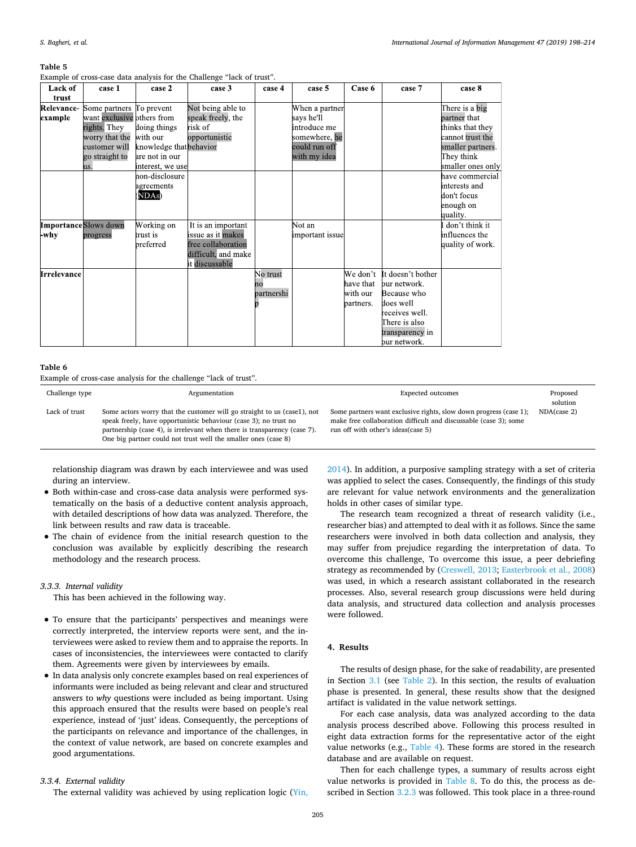#### <span id="page-8-1"></span>**Table 5**

Example of cross-case data analysis for the Challenge "lack of trust".

| Lack of            | case 1                       | case 2                  | case 3              | case 4     | case 5          | Case 6    | case 7            | case 8            |
|--------------------|------------------------------|-------------------------|---------------------|------------|-----------------|-----------|-------------------|-------------------|
| trust              |                              |                         |                     |            |                 |           |                   |                   |
| Relevance-         | Some partners To prevent     |                         | Not being able to   |            | When a partner  |           |                   | There is a big    |
| example            | want exclusive others from   |                         | speak freely, the   |            | says he'll      |           |                   | partner that      |
|                    | rights. They                 | doing things            | risk of             |            | introduce me    |           |                   | thinks that they  |
|                    | worry that the               | with our                | opportunistic       |            | somewhere, he   |           |                   | cannot trust the  |
|                    | customer will                | knowledge that behavior |                     |            | could run off   |           |                   | smaller partners. |
|                    | go straight to               | are not in our          |                     |            | with my idea    |           |                   | They think        |
|                    | us.                          | interest, we use        |                     |            |                 |           |                   | smaller ones only |
|                    |                              | non-disclosure          |                     |            |                 |           |                   | have commercial   |
|                    |                              | agreements              |                     |            |                 |           |                   | interests and     |
|                    |                              | NDA <sub>s</sub> )      |                     |            |                 |           |                   | don't focus       |
|                    |                              |                         |                     |            |                 |           |                   | enough on         |
|                    |                              |                         |                     |            |                 |           |                   | quality.          |
|                    | <b>Importance</b> Slows down | Working on              | It is an important  |            | Not an          |           |                   | don't think it    |
| -why               | progress                     | trust is                | issue as it makes   |            | important issue |           |                   | influences the    |
|                    |                              | preferred               | free collaboration  |            |                 |           |                   | quality of work.  |
|                    |                              |                         | difficult, and make |            |                 |           |                   |                   |
|                    |                              |                         | it discussable      |            |                 |           |                   |                   |
| <b>Irrelevance</b> |                              |                         |                     | No trust   |                 | We don't  | It doesn't bother |                   |
|                    |                              |                         |                     | no         |                 | have that | our network.      |                   |
|                    |                              |                         |                     | partnershi |                 | with our  | Because who       |                   |
|                    |                              |                         |                     |            |                 | partners. | does well         |                   |
|                    |                              |                         |                     |            |                 |           | receives well.    |                   |
|                    |                              |                         |                     |            |                 |           | There is also     |                   |
|                    |                              |                         |                     |            |                 |           | transparency in   |                   |
|                    |                              |                         |                     |            |                 |           | our network.      |                   |

#### **Table 6**

Example of cross-case analysis for the challenge "lack of trust".

| Challenge type | Argumentation                                                                                                                                                                                                                                                                             | <b>Expected outcomes</b>                                                                                                                                                    | Proposed<br>solution |
|----------------|-------------------------------------------------------------------------------------------------------------------------------------------------------------------------------------------------------------------------------------------------------------------------------------------|-----------------------------------------------------------------------------------------------------------------------------------------------------------------------------|----------------------|
| Lack of trust  | Some actors worry that the customer will go straight to us (case1), not<br>speak freely, have opportunistic behaviour (case 3); no trust no<br>partnership (case 4), is irrelevant when there is transparency (case 7).<br>One big partner could not trust well the smaller ones (case 8) | Some partners want exclusive rights, slow down progress (case 1);<br>make free collaboration difficult and discussable (case 3); some<br>run off with other's ideas(case 5) | NDA(case 2)          |
|                |                                                                                                                                                                                                                                                                                           |                                                                                                                                                                             |                      |

relationship diagram was drawn by each interviewee and was used during an interview.

- Both within-case and cross-case data analysis were performed systematically on the basis of a deductive content analysis approach, with detailed descriptions of how data was analyzed. Therefore, the link between results and raw data is traceable.
- The chain of evidence from the initial research question to the conclusion was available by explicitly describing the research methodology and the research process.

#### *3.3.3. Internal validity*

This has been achieved in the following way.

- To ensure that the participants' perspectives and meanings were correctly interpreted, the interview reports were sent, and the interviewees were asked to review them and to appraise the reports. In cases of inconsistencies, the interviewees were contacted to clarify them. Agreements were given by interviewees by emails.
- In data analysis only concrete examples based on real experiences of informants were included as being relevant and clear and structured answers to *why* questions were included as being important. Using this approach ensured that the results were based on people's real experience, instead of 'just' ideas. Consequently, the perceptions of the participants on relevance and importance of the challenges, in the context of value network, are based on concrete examples and good argumentations.

#### *3.3.4. External validity*

The external validity was achieved by using replication logic ([Yin,](#page-17-27)

[2014\)](#page-17-27). In addition, a purposive sampling strategy with a set of criteria was applied to select the cases. Consequently, the findings of this study are relevant for value network environments and the generalization holds in other cases of similar type.

The research team recognized a threat of research validity (i.e., researcher bias) and attempted to deal with it as follows. Since the same researchers were involved in both data collection and analysis, they may suffer from prejudice regarding the interpretation of data. To overcome this challenge, To overcome this issue, a peer debriefing strategy as recommended by ([Creswell, 2013;](#page-16-15) [Easterbrook et al., 2008\)](#page-16-13) was used, in which a research assistant collaborated in the research processes. Also, several research group discussions were held during data analysis, and structured data collection and analysis processes were followed.

# <span id="page-8-0"></span>**4. Results**

The results of design phase, for the sake of readability, are presented in Section [3.1](#page-3-1) (see [Table 2\)](#page-5-0). In this section, the results of evaluation phase is presented. In general, these results show that the designed artifact is validated in the value network settings.

For each case analysis, data was analyzed according to the data analysis process described above. Following this process resulted in eight data extraction forms for the representative actor of the eight value networks (e.g., [Table 4](#page-7-0)). These forms are stored in the research database and are available on request.

Then for each challenge types, a summary of results across eight value networks is provided in [Table 8.](#page-10-0) To do this, the process as described in Section [3.2.3](#page-6-1) was followed. This took place in a three-round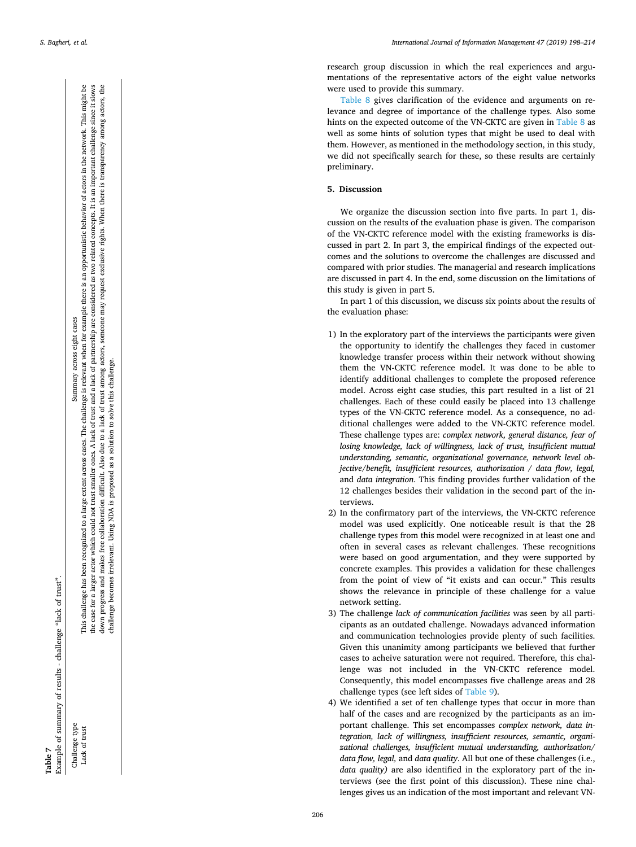case for a larger actor which could not trust smaller ones. A lack of trust and a lack of partnership are considered as two related concepts. It is an important challenge since it slows the case for a larger actor which could not trust smaller ones. A lack of trust and a lack of partnership are considered as two related concepts. It is an important challenge since it slows<br>down progress and makes free col This challenge has been recognized to a large extent across cases. The challenge is relevant when for example there is an opportunistic behavior of actors in the network. This might be Summary across eight cases

Challenge type Lack of trust research group discussion in which the real experiences and argumentations of the representative actors of the eight value networks were used to provide this summary.

[Table 8](#page-10-0) gives clarification of the evidence and arguments on relevance and degree of importance of the challenge types. Also some hints on the expected outcome of the VN-CKTC are given in [Table 8](#page-10-0) as well as some hints of solution types that might be used to deal with them. However, as mentioned in the methodology section, in this study, we did not specifically search for these, so these results are certainly preliminary.

#### <span id="page-9-0"></span>**5. Discussion**

We organize the discussion section into five parts. In part 1, discussion on the results of the evaluation phase is given. The comparison of the VN-CKTC reference model with the existing frameworks is discussed in part 2. In part 3, the empirical findings of the expected outcomes and the solutions to overcome the challenges are discussed and compared with prior studies. The managerial and research implications are discussed in part 4. In the end, some discussion on the limitations of this study is given in part 5.

In part 1 of this discussion, we discuss six points about the results of the evaluation phase:

- 1) In the exploratory part of the interviews the participants were given the opportunity to identify the challenges they faced in customer knowledge transfer process within their network without showing them the VN-CKTC reference model. It was done to be able to identify additional challenges to complete the proposed reference model. Across eight case studies, this part resulted in a list of 21 challenges. Each of these could easily be placed into 13 challenge types of the VN-CKTC reference model. As a consequence, no additional challenges were added to the VN-CKTC reference model. These challenge types are: *complex network, general distance, fear of losing knowledge, lack of willingness, lack of trust, insufficient mutual understanding, semantic, organizational governance, network level objective/benefit, insufficient resources, authorization / data flow, legal,* and *data integration*. This finding provides further validation of the 12 challenges besides their validation in the second part of the interviews.
- 2) In the confirmatory part of the interviews, the VN-CKTC reference model was used explicitly. One noticeable result is that the 28 challenge types from this model were recognized in at least one and often in several cases as relevant challenges. These recognitions were based on good argumentation, and they were supported by concrete examples. This provides a validation for these challenges from the point of view of "it exists and can occur." This results shows the relevance in principle of these challenge for a value network setting.
- 3) The challenge *lack of communication facilities* was seen by all participants as an outdated challenge. Nowadays advanced information and communication technologies provide plenty of such facilities. Given this unanimity among participants we believed that further cases to acheive saturation were not required. Therefore, this challenge was not included in the VN-CKTC reference model. Consequently, this model encompasses five challenge areas and 28 challenge types (see left sides of [Table 9\)](#page-13-0).
- 4) We identified a set of ten challenge types that occur in more than half of the cases and are recognized by the participants as an important challenge. This set encompasses *complex network, data integration, lack of willingness, insufficient resources, semantic, organizational challenges, insufficient mutual understanding, authorization/ data flow, legal,* and *data quality*. All but one of these challenges (i.e., *data quality)* are also identified in the exploratory part of the interviews (see the first point of this discussion). These nine challenges gives us an indication of the most important and relevant VN-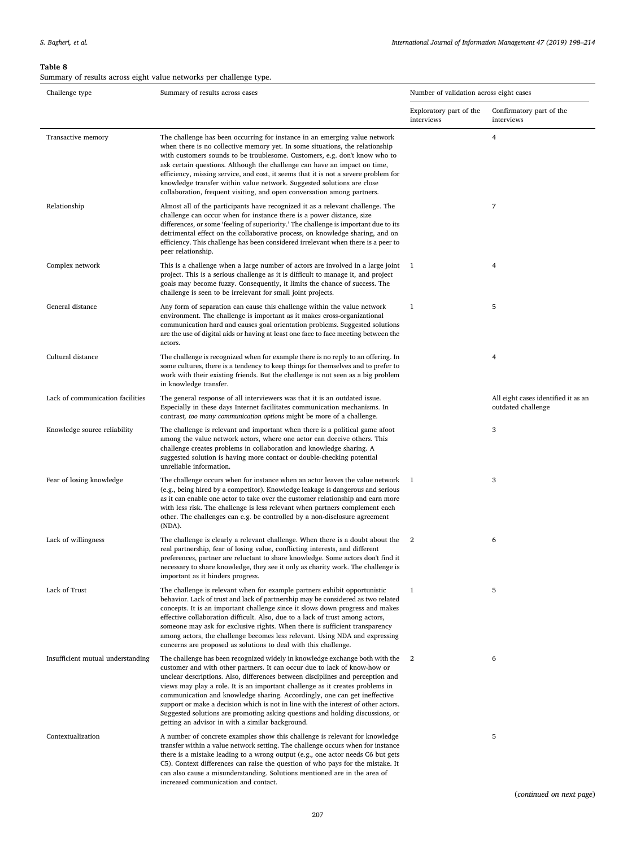# <span id="page-10-0"></span>**Table 8**

Summary of results across eight value networks per challenge type.

| Challenge type                    | Summary of results across cases                                                                                                                                                                                                                                                                                                                                                                                                                                                                                                                                                                                                       | Number of validation across eight cases |                                                           |
|-----------------------------------|---------------------------------------------------------------------------------------------------------------------------------------------------------------------------------------------------------------------------------------------------------------------------------------------------------------------------------------------------------------------------------------------------------------------------------------------------------------------------------------------------------------------------------------------------------------------------------------------------------------------------------------|-----------------------------------------|-----------------------------------------------------------|
|                                   |                                                                                                                                                                                                                                                                                                                                                                                                                                                                                                                                                                                                                                       | Exploratory part of the<br>interviews   | Confirmatory part of the<br>interviews                    |
| Transactive memory                | The challenge has been occurring for instance in an emerging value network<br>when there is no collective memory yet. In some situations, the relationship<br>with customers sounds to be troublesome. Customers, e.g. don't know who to<br>ask certain questions. Although the challenge can have an impact on time,<br>efficiency, missing service, and cost, it seems that it is not a severe problem for<br>knowledge transfer within value network. Suggested solutions are close<br>collaboration, frequent visiting, and open conversation among partners.                                                                     |                                         | 4                                                         |
| Relationship                      | Almost all of the participants have recognized it as a relevant challenge. The<br>challenge can occur when for instance there is a power distance, size<br>differences, or some 'feeling of superiority.' The challenge is important due to its<br>detrimental effect on the collaborative process, on knowledge sharing, and on<br>efficiency. This challenge has been considered irrelevant when there is a peer to<br>peer relationship.                                                                                                                                                                                           |                                         | 7                                                         |
| Complex network                   | This is a challenge when a large number of actors are involved in a large joint 1<br>project. This is a serious challenge as it is difficult to manage it, and project<br>goals may become fuzzy. Consequently, it limits the chance of success. The<br>challenge is seen to be irrelevant for small joint projects.                                                                                                                                                                                                                                                                                                                  |                                         | 4                                                         |
| General distance                  | Any form of separation can cause this challenge within the value network<br>environment. The challenge is important as it makes cross-organizational<br>communication hard and causes goal orientation problems. Suggested solutions<br>are the use of digital aids or having at least one face to face meeting between the<br>actors.                                                                                                                                                                                                                                                                                                | 1                                       | 5                                                         |
| Cultural distance                 | The challenge is recognized when for example there is no reply to an offering. In<br>some cultures, there is a tendency to keep things for themselves and to prefer to<br>work with their existing friends. But the challenge is not seen as a big problem<br>in knowledge transfer.                                                                                                                                                                                                                                                                                                                                                  |                                         | 4                                                         |
| Lack of communication facilities  | The general response of all interviewers was that it is an outdated issue.<br>Especially in these days Internet facilitates communication mechanisms. In<br>contrast, too many communication options might be more of a challenge.                                                                                                                                                                                                                                                                                                                                                                                                    |                                         | All eight cases identified it as an<br>outdated challenge |
| Knowledge source reliability      | The challenge is relevant and important when there is a political game afoot<br>among the value network actors, where one actor can deceive others. This<br>challenge creates problems in collaboration and knowledge sharing. A<br>suggested solution is having more contact or double-checking potential<br>unreliable information.                                                                                                                                                                                                                                                                                                 |                                         | 3                                                         |
| Fear of losing knowledge          | The challenge occurs when for instance when an actor leaves the value network<br>(e.g., being hired by a competitor). Knowledge leakage is dangerous and serious<br>as it can enable one actor to take over the customer relationship and earn more<br>with less risk. The challenge is less relevant when partners complement each<br>other. The challenges can e.g. be controlled by a non-disclosure agreement<br>(NDA).                                                                                                                                                                                                           | <sup>1</sup>                            | 3                                                         |
| Lack of willingness               | The challenge is clearly a relevant challenge. When there is a doubt about the<br>real partnership, fear of losing value, conflicting interests, and different<br>preferences, partner are reluctant to share knowledge. Some actors don't find it<br>necessary to share knowledge, they see it only as charity work. The challenge is<br>important as it hinders progress.                                                                                                                                                                                                                                                           | $\overline{2}$                          | 6                                                         |
| Lack of Trust                     | The challenge is relevant when for example partners exhibit opportunistic<br>behavior. Lack of trust and lack of partnership may be considered as two related<br>concepts. It is an important challenge since it slows down progress and makes<br>effective collaboration difficult. Also, due to a lack of trust among actors,<br>someone may ask for exclusive rights. When there is sufficient transparency<br>among actors, the challenge becomes less relevant. Using NDA and expressing<br>concerns are proposed as solutions to deal with this challenge.                                                                      | 1                                       | 5                                                         |
| Insufficient mutual understanding | The challenge has been recognized widely in knowledge exchange both with the<br>customer and with other partners. It can occur due to lack of know-how or<br>unclear descriptions. Also, differences between disciplines and perception and<br>views may play a role. It is an important challenge as it creates problems in<br>communication and knowledge sharing. Accordingly, one can get ineffective<br>support or make a decision which is not in line with the interest of other actors.<br>Suggested solutions are promoting asking questions and holding discussions, or<br>getting an advisor in with a similar background. | $\overline{2}$                          | 6                                                         |
| Contextualization                 | A number of concrete examples show this challenge is relevant for knowledge<br>transfer within a value network setting. The challenge occurs when for instance<br>there is a mistake leading to a wrong output (e.g., one actor needs C6 but gets<br>C5). Context differences can raise the question of who pays for the mistake. It<br>can also cause a misunderstanding. Solutions mentioned are in the area of<br>increased communication and contact.                                                                                                                                                                             |                                         | 5                                                         |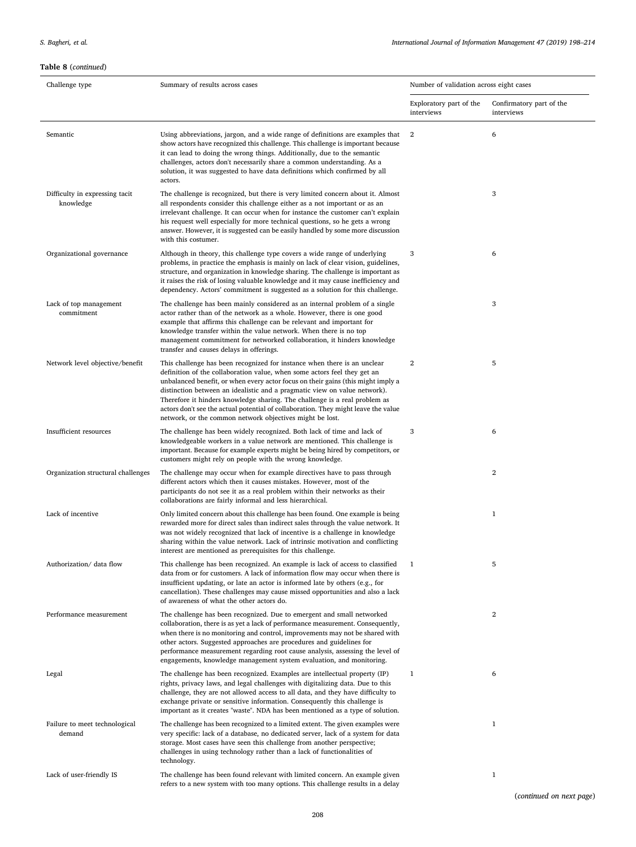# **Table 8** (*continued*)

| Challenge type                              | Summary of results across cases                                                                                                                                                                                                                                                                                                                                                                                                                                                                                                                       | Number of validation across eight cases |                                        |
|---------------------------------------------|-------------------------------------------------------------------------------------------------------------------------------------------------------------------------------------------------------------------------------------------------------------------------------------------------------------------------------------------------------------------------------------------------------------------------------------------------------------------------------------------------------------------------------------------------------|-----------------------------------------|----------------------------------------|
|                                             |                                                                                                                                                                                                                                                                                                                                                                                                                                                                                                                                                       | Exploratory part of the<br>interviews   | Confirmatory part of the<br>interviews |
| Semantic                                    | Using abbreviations, jargon, and a wide range of definitions are examples that<br>show actors have recognized this challenge. This challenge is important because<br>it can lead to doing the wrong things. Additionally, due to the semantic<br>challenges, actors don't necessarily share a common understanding. As a<br>solution, it was suggested to have data definitions which confirmed by all<br>actors.                                                                                                                                     | 2                                       | 6                                      |
| Difficulty in expressing tacit<br>knowledge | The challenge is recognized, but there is very limited concern about it. Almost<br>all respondents consider this challenge either as a not important or as an<br>irrelevant challenge. It can occur when for instance the customer can't explain<br>his request well especially for more technical questions, so he gets a wrong<br>answer. However, it is suggested can be easily handled by some more discussion<br>with this costumer.                                                                                                             |                                         | 3                                      |
| Organizational governance                   | Although in theory, this challenge type covers a wide range of underlying<br>problems, in practice the emphasis is mainly on lack of clear vision, guidelines,<br>structure, and organization in knowledge sharing. The challenge is important as<br>it raises the risk of losing valuable knowledge and it may cause inefficiency and<br>dependency. Actors' commitment is suggested as a solution for this challenge.                                                                                                                               | 3                                       | 6                                      |
| Lack of top management<br>commitment        | The challenge has been mainly considered as an internal problem of a single<br>actor rather than of the network as a whole. However, there is one good<br>example that affirms this challenge can be relevant and important for<br>knowledge transfer within the value network. When there is no top<br>management commitment for networked collaboration, it hinders knowledge<br>transfer and causes delays in offerings.                                                                                                                           |                                         | 3                                      |
| Network level objective/benefit             | This challenge has been recognized for instance when there is an unclear<br>definition of the collaboration value, when some actors feel they get an<br>unbalanced benefit, or when every actor focus on their gains (this might imply a<br>distinction between an idealistic and a pragmatic view on value network).<br>Therefore it hinders knowledge sharing. The challenge is a real problem as<br>actors don't see the actual potential of collaboration. They might leave the value<br>network, or the common network objectives might be lost. | 2                                       | 5                                      |
| Insufficient resources                      | The challenge has been widely recognized. Both lack of time and lack of<br>knowledgeable workers in a value network are mentioned. This challenge is<br>important. Because for example experts might be being hired by competitors, or<br>customers might rely on people with the wrong knowledge.                                                                                                                                                                                                                                                    | 3                                       | 6                                      |
| Organization structural challenges          | The challenge may occur when for example directives have to pass through<br>different actors which then it causes mistakes. However, most of the<br>participants do not see it as a real problem within their networks as their<br>collaborations are fairly informal and less hierarchical.                                                                                                                                                                                                                                                          |                                         | 2                                      |
| Lack of incentive                           | Only limited concern about this challenge has been found. One example is being<br>rewarded more for direct sales than indirect sales through the value network. It<br>was not widely recognized that lack of incentive is a challenge in knowledge<br>sharing within the value network. Lack of intrinsic motivation and conflicting<br>interest are mentioned as prerequisites for this challenge.                                                                                                                                                   |                                         | $\mathbf{1}$                           |
| Authorization/ data flow                    | This challenge has been recognized. An example is lack of access to classified<br>data from or for customers. A lack of information flow may occur when there is<br>insufficient updating, or late an actor is informed late by others (e.g., for<br>cancellation). These challenges may cause missed opportunities and also a lack<br>of awareness of what the other actors do.                                                                                                                                                                      | 1                                       | 5                                      |
| Performance measurement                     | The challenge has been recognized. Due to emergent and small networked<br>collaboration, there is as yet a lack of performance measurement. Consequently,<br>when there is no monitoring and control, improvements may not be shared with<br>other actors. Suggested approaches are procedures and guidelines for<br>performance measurement regarding root cause analysis, assessing the level of<br>engagements, knowledge management system evaluation, and monitoring.                                                                            |                                         | 2                                      |
| Legal                                       | The challenge has been recognized. Examples are intellectual property (IP)<br>rights, privacy laws, and legal challenges with digitalizing data. Due to this<br>challenge, they are not allowed access to all data, and they have difficulty to<br>exchange private or sensitive information. Consequently this challenge is<br>important as it creates "waste". NDA has been mentioned as a type of solution.                                                                                                                                        | 1                                       | 6                                      |
| Failure to meet technological<br>demand     | The challenge has been recognized to a limited extent. The given examples were<br>very specific: lack of a database, no dedicated server, lack of a system for data<br>storage. Most cases have seen this challenge from another perspective;<br>challenges in using technology rather than a lack of functionalities of<br>technology.                                                                                                                                                                                                               |                                         | 1                                      |
| Lack of user-friendly IS                    | The challenge has been found relevant with limited concern. An example given<br>refers to a new system with too many options. This challenge results in a delay                                                                                                                                                                                                                                                                                                                                                                                       |                                         | 1                                      |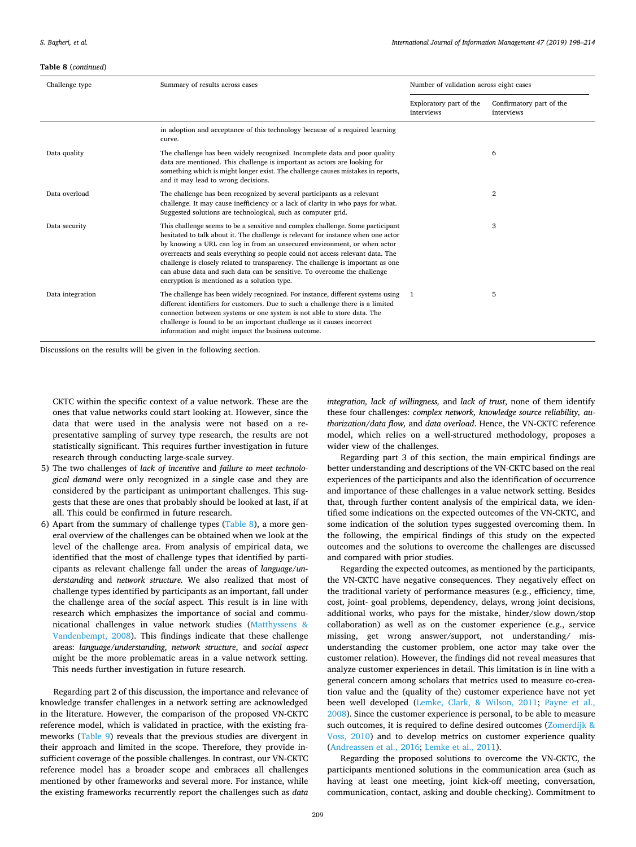#### **Table 8** (*continued*)

| Challenge type   | Summary of results across cases                                                                                                                                                                                                                                                                                                                                                                                                                                                                                                                | Number of validation across eight cases |                                        |
|------------------|------------------------------------------------------------------------------------------------------------------------------------------------------------------------------------------------------------------------------------------------------------------------------------------------------------------------------------------------------------------------------------------------------------------------------------------------------------------------------------------------------------------------------------------------|-----------------------------------------|----------------------------------------|
|                  |                                                                                                                                                                                                                                                                                                                                                                                                                                                                                                                                                | Exploratory part of the<br>interviews   | Confirmatory part of the<br>interviews |
|                  | in adoption and acceptance of this technology because of a required learning<br>curve.                                                                                                                                                                                                                                                                                                                                                                                                                                                         |                                         |                                        |
| Data quality     | The challenge has been widely recognized. Incomplete data and poor quality<br>data are mentioned. This challenge is important as actors are looking for<br>something which is might longer exist. The challenge causes mistakes in reports,<br>and it may lead to wrong decisions.                                                                                                                                                                                                                                                             |                                         | 6                                      |
| Data overload    | The challenge has been recognized by several participants as a relevant<br>challenge. It may cause inefficiency or a lack of clarity in who pays for what.<br>Suggested solutions are technological, such as computer grid.                                                                                                                                                                                                                                                                                                                    |                                         | $\mathbf{2}$                           |
| Data security    | This challenge seems to be a sensitive and complex challenge. Some participant<br>hesitated to talk about it. The challenge is relevant for instance when one actor<br>by knowing a URL can log in from an unsecured environment, or when actor<br>overreacts and seals everything so people could not access relevant data. The<br>challenge is closely related to transparency. The challenge is important as one<br>can abuse data and such data can be sensitive. To overcome the challenge<br>encryption is mentioned as a solution type. |                                         | 3                                      |
| Data integration | The challenge has been widely recognized. For instance, different systems using<br>different identifiers for customers. Due to such a challenge there is a limited<br>connection between systems or one system is not able to store data. The<br>challenge is found to be an important challenge as it causes incorrect<br>information and might impact the business outcome.                                                                                                                                                                  | 1                                       | 5                                      |

Discussions on the results will be given in the following section.

CKTC within the specific context of a value network. These are the ones that value networks could start looking at. However, since the data that were used in the analysis were not based on a representative sampling of survey type research, the results are not statistically significant. This requires further investigation in future research through conducting large-scale survey.

- 5) The two challenges of *lack of incentive* and *failure to meet technological demand* were only recognized in a single case and they are considered by the participant as unimportant challenges. This suggests that these are ones that probably should be looked at last, if at all. This could be confirmed in future research.
- 6) Apart from the summary of challenge types [\(Table 8\)](#page-10-0), a more general overview of the challenges can be obtained when we look at the level of the challenge area. From analysis of empirical data, we identified that the most of challenge types that identified by participants as relevant challenge fall under the areas of *language/understanding* and *network structure.* We also realized that most of challenge types identified by participants as an important, fall under the challenge area of the *social* aspect. This result is in line with research which emphasizes the importance of social and communicational challenges in value network studies ([Matthyssens &](#page-17-20) [Vandenbempt, 2008\)](#page-17-20). This findings indicate that these challenge areas: *language/understanding*, *network structure*, and *social aspect* might be the more problematic areas in a value network setting. This needs further investigation in future research.

Regarding part 2 of this discussion, the importance and relevance of knowledge transfer challenges in a network setting are acknowledged in the literature. However, the comparison of the proposed VN-CKTC reference model, which is validated in practice, with the existing frameworks ([Table 9](#page-13-0)) reveals that the previous studies are divergent in their approach and limited in the scope. Therefore, they provide insufficient coverage of the possible challenges. In contrast, our VN-CKTC reference model has a broader scope and embraces all challenges mentioned by other frameworks and several more. For instance, while the existing frameworks recurrently report the challenges such as *data* *integration, lack of willingness,* and *lack of trust*, none of them identify these four challenges: *complex network, knowledge source reliability, authorization/data flow,* and *data overload*. Hence, the VN-CKTC reference model, which relies on a well-structured methodology, proposes a wider view of the challenges.

Regarding part 3 of this section, the main empirical findings are better understanding and descriptions of the VN-CKTC based on the real experiences of the participants and also the identification of occurrence and importance of these challenges in a value network setting. Besides that, through further content analysis of the empirical data, we identified some indications on the expected outcomes of the VN-CKTC, and some indication of the solution types suggested overcoming them. In the following, the empirical findings of this study on the expected outcomes and the solutions to overcome the challenges are discussed and compared with prior studies.

Regarding the expected outcomes, as mentioned by the participants, the VN-CKTC have negative consequences. They negatively effect on the traditional variety of performance measures (e.g., efficiency, time, cost, joint- goal problems, dependency, delays, wrong joint decisions, additional works, who pays for the mistake, hinder/slow down/stop collaboration) as well as on the customer experience (e.g., service missing, get wrong answer/support, not understanding/ misunderstanding the customer problem, one actor may take over the customer relation). However, the findings did not reveal measures that analyze customer experiences in detail. This limitation is in line with a general concern among scholars that metrics used to measure co-creation value and the (quality of the) customer experience have not yet been well developed [\(Lemke, Clark, & Wilson, 2011;](#page-17-32) [Payne et al.,](#page-17-6) [2008\)](#page-17-6). Since the customer experience is personal, to be able to measure such outcomes, it is required to define desired outcomes [\(Zomerdijk &](#page-17-33) [Voss, 2010\)](#page-17-33) and to develop metrics on customer experience quality ([Andreassen et al., 2016](#page-16-21); [Lemke et al., 2011\)](#page-17-32).

Regarding the proposed solutions to overcome the VN-CKTC, the participants mentioned solutions in the communication area (such as having at least one meeting, joint kick-off meeting, conversation, communication, contact, asking and double checking). Commitment to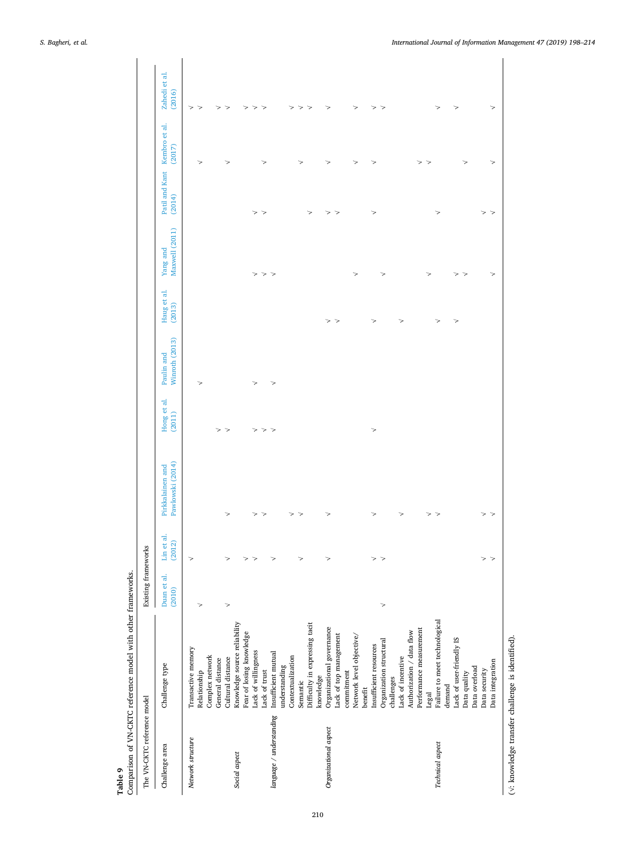<span id="page-13-0"></span>

| The VN-CKTC reference model |                                      | Existing frameworks   |                      |                                      |                       |                              |                       |                            |                               |                         |                               |
|-----------------------------|--------------------------------------|-----------------------|----------------------|--------------------------------------|-----------------------|------------------------------|-----------------------|----------------------------|-------------------------------|-------------------------|-------------------------------|
| Challenge area              | Challenge type                       | Duan et al.<br>(2010) | Lin et al.<br>(2012) | Pawlowski (2014)<br>Pirkkalainen and | Hong et al.<br>(2011) | Winroth (2013)<br>Paulin and | Haug et al.<br>(2013) | Maxwell (2011)<br>Yang and | Patil and Kant<br>(2014)      | Kembro et al.<br>(2017) | Zahedi et al.<br>(2016)       |
| Network structure           | Transactive memory<br>Relationship   |                       | >                    |                                      |                       | >                            |                       |                            |                               | >                       | ><br>$\overline{\phantom{0}}$ |
|                             | Complex network                      |                       |                      |                                      |                       |                              |                       |                            |                               |                         |                               |
|                             | General distance                     |                       |                      |                                      | ⋗                     |                              |                       |                            |                               |                         | >                             |
|                             | Cultural distance                    | >                     |                      |                                      | >                     |                              |                       |                            |                               | >                       | >                             |
| Social aspect               | Knowledge source reliability         |                       |                      |                                      |                       |                              |                       |                            |                               |                         |                               |
|                             | Fear of losing knowledge             |                       |                      |                                      |                       |                              |                       |                            |                               |                         | ⋗                             |
|                             | Lack of willingness<br>Lack of trust |                       | >                    | >                                    | ><br>>                | >                            |                       | $\mathbf{I}$<br>$\!>$      | ><br>$\overline{\phantom{0}}$ | >                       | ><br>>                        |
| language / understanding    | Insufficient mutual                  |                       |                      |                                      | $\rightarrow$         | >                            |                       | $\!>$                      |                               |                         |                               |
|                             | understanding                        |                       |                      |                                      |                       |                              |                       |                            |                               |                         |                               |
|                             | Contextualization                    |                       |                      | >                                    |                       |                              |                       |                            |                               |                         | >                             |
|                             | Semantic                             |                       | >                    | >                                    |                       |                              |                       |                            |                               | >                       | >                             |
|                             | Difficulty in expressing tacit       |                       |                      |                                      |                       |                              |                       |                            | $\Rightarrow$                 |                         | $\Rightarrow$                 |
|                             | knowledge                            |                       |                      |                                      |                       |                              |                       |                            |                               |                         |                               |
| Organizational aspect       | Organizational governance            |                       | >                    | >                                    |                       |                              | >                     |                            | $\!>$                         | $\Rightarrow$           | >                             |
|                             | Lack of top management               |                       |                      |                                      |                       |                              | >                     |                            | $\, > \,$                     |                         |                               |
|                             | commitment                           |                       |                      |                                      |                       |                              |                       |                            |                               |                         |                               |
|                             | Network level objective/             |                       |                      |                                      |                       |                              |                       | >                          |                               | $\Rightarrow$           | $\mathord{\succ}$             |
|                             | benefit                              |                       |                      |                                      |                       |                              |                       |                            |                               |                         |                               |
|                             | Insufficient resources               |                       | >                    | >                                    | $\!>\,$               |                              | >                     |                            | $\Rightarrow$                 | $\mathbf{I}$            | $\Rightarrow$                 |
|                             | Organization structural              | >                     | >                    |                                      |                       |                              |                       | >                          |                               |                         | $\Rightarrow$                 |
|                             | Lack of incentive<br>challenges      |                       |                      | >                                    |                       |                              | ⋗                     |                            |                               |                         |                               |
|                             | Authorization / data flow            |                       |                      |                                      |                       |                              |                       |                            |                               |                         |                               |
|                             | Performance measurement              |                       |                      |                                      |                       |                              |                       |                            |                               | ⋗                       |                               |
|                             | Legal                                |                       |                      |                                      |                       |                              |                       | >                          |                               | $\Rightarrow$           |                               |
| Technical aspect            | Failure to meet technological        |                       |                      | >                                    |                       |                              | >                     |                            | >                             |                         | >                             |
|                             | demand                               |                       |                      |                                      |                       |                              |                       |                            |                               |                         |                               |
|                             | Lack of user-friendly IS             |                       |                      |                                      |                       |                              | $\!>\,$               | >                          |                               |                         | >                             |
|                             | Data quality                         |                       |                      |                                      |                       |                              |                       | >                          |                               | $\Rightarrow$           |                               |
|                             | Data overload                        |                       |                      |                                      |                       |                              |                       |                            |                               |                         |                               |
|                             | Data security                        |                       | >                    |                                      |                       |                              |                       |                            | $\rightarrow$<br>>            |                         |                               |
|                             | Data integration                     |                       |                      | >                                    |                       |                              |                       | >                          |                               | >                       | >                             |

Table 9 Comparison of VN-CKTC reference model with other frameworks. Comparison of VN-CKTC reference model with other frameworks.

 $(\vee;$  knowledge transfer challenge is identified). (√: knowledge transfer challenge is identified).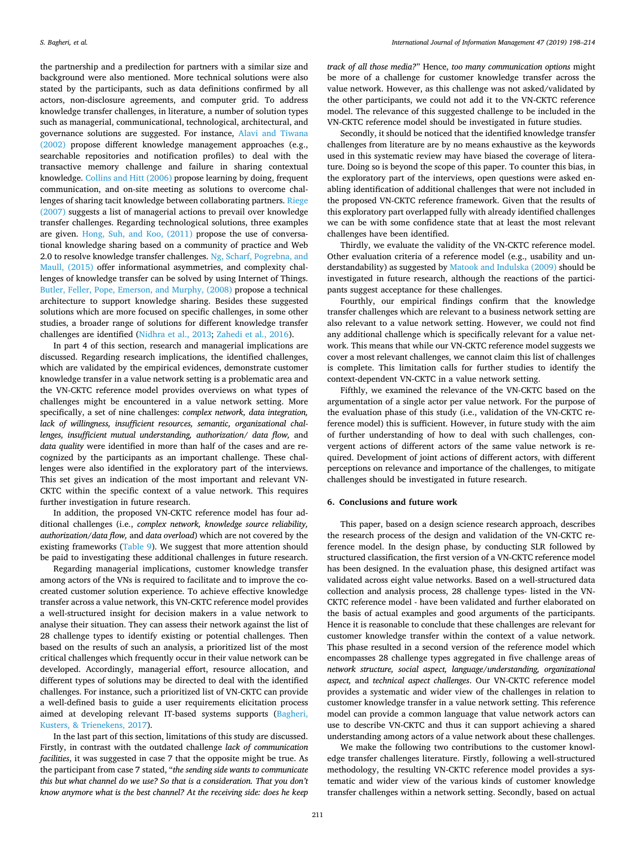the partnership and a predilection for partners with a similar size and background were also mentioned. More technical solutions were also stated by the participants, such as data definitions confirmed by all actors, non-disclosure agreements, and computer grid. To address knowledge transfer challenges, in literature, a number of solution types such as managerial, communicational, technological, architectural, and governance solutions are suggested. For instance, [Alavi and Tiwana](#page-16-22) [\(2002\)](#page-16-22) propose different knowledge management approaches (e.g., searchable repositories and notification profiles) to deal with the transactive memory challenge and failure in sharing contextual knowledge. [Collins and Hitt \(2006\)](#page-16-23) propose learning by doing, frequent communication, and on-site meeting as solutions to overcome challenges of sharing tacit knowledge between collaborating partners. [Riege](#page-17-37) [\(2007\)](#page-17-37) suggests a list of managerial actions to prevail over knowledge transfer challenges. Regarding technological solutions, three examples are given. [Hong, Suh, and Koo, \(2011\)](#page-17-34) propose the use of conversational knowledge sharing based on a community of practice and Web 2.0 to resolve knowledge transfer challenges. [Ng, Scharf, Pogrebna, and](#page-17-38) [Maull, \(2015\)](#page-17-38) offer informational asymmetries, and complexity challenges of knowledge transfer can be solved by using Internet of Things. [Butler, Feller, Pope, Emerson, and Murphy, \(2008\)](#page-16-24) propose a technical architecture to support knowledge sharing. Besides these suggested solutions which are more focused on specific challenges, in some other studies, a broader range of solutions for different knowledge transfer challenges are identified [\(Nidhra et al., 2013](#page-17-9); [Zahedi et al., 2016](#page-17-11)).

In part 4 of this section, research and managerial implications are discussed. Regarding research implications, the identified challenges, which are validated by the empirical evidences, demonstrate customer knowledge transfer in a value network setting is a problematic area and the VN-CKTC reference model provides overviews on what types of challenges might be encountered in a value network setting. More specifically, a set of nine challenges: *complex network, data integration, lack of willingness, insufficient resources, semantic, organizational challenges, insufficient mutual understanding, authorization/ data flow,* and *data quality* were identified in more than half of the cases and are recognized by the participants as an important challenge. These challenges were also identified in the exploratory part of the interviews. This set gives an indication of the most important and relevant VN-CKTC within the specific context of a value network. This requires further investigation in future research.

In addition, the proposed VN-CKTC reference model has four additional challenges (i.e., *complex network, knowledge source reliability, authorization/data flow,* and *data overload*) which are not covered by the existing frameworks [\(Table 9\)](#page-13-0). We suggest that more attention should be paid to investigating these additional challenges in future research.

Regarding managerial implications, customer knowledge transfer among actors of the VNs is required to facilitate and to improve the cocreated customer solution experience. To achieve effective knowledge transfer across a value network, this VN-CKTC reference model provides a well-structured insight for decision makers in a value network to analyse their situation. They can assess their network against the list of 28 challenge types to identify existing or potential challenges. Then based on the results of such an analysis, a prioritized list of the most critical challenges which frequently occur in their value network can be developed. Accordingly, managerial effort, resource allocation, and different types of solutions may be directed to deal with the identified challenges. For instance, such a prioritized list of VN-CKTC can provide a well-defined basis to guide a user requirements elicitation process aimed at developing relevant IT-based systems supports [\(Bagheri,](#page-16-25) [Kusters, & Trienekens, 2017\)](#page-16-25).

In the last part of this section, limitations of this study are discussed. Firstly, in contrast with the outdated challenge *lack of communication facilities*, it was suggested in case 7 that the opposite might be true. As the participant from case 7 stated, "*the sending side wants to communicate this but what channel do we use? So that is a consideration. That you don't know anymore what is the best channel? At the receiving side: does he keep*

*track of all those media?*" Hence, *too many communication options* might be more of a challenge for customer knowledge transfer across the value network. However, as this challenge was not asked/validated by the other participants, we could not add it to the VN-CKTC reference model. The relevance of this suggested challenge to be included in the VN-CKTC reference model should be investigated in future studies.

Secondly, it should be noticed that the identified knowledge transfer challenges from literature are by no means exhaustive as the keywords used in this systematic review may have biased the coverage of literature. Doing so is beyond the scope of this paper. To counter this bias, in the exploratory part of the interviews, open questions were asked enabling identification of additional challenges that were not included in the proposed VN-CKTC reference framework. Given that the results of this exploratory part overlapped fully with already identified challenges we can be with some confidence state that at least the most relevant challenges have been identified.

Thirdly, we evaluate the validity of the VN-CKTC reference model. Other evaluation criteria of a reference model (e.g., usability and understandability) as suggested by [Matook and Indulska \(2009\)](#page-17-39) should be investigated in future research, although the reactions of the participants suggest acceptance for these challenges.

Fourthly, our empirical findings confirm that the knowledge transfer challenges which are relevant to a business network setting are also relevant to a value network setting. However, we could not find any additional challenge which is specifically relevant for a value network. This means that while our VN-CKTC reference model suggests we cover a most relevant challenges, we cannot claim this list of challenges is complete. This limitation calls for further studies to identify the context-dependent VN-CKTC in a value network setting.

Fifthly, we examined the relevance of the VN-CKTC based on the argumentation of a single actor per value network. For the purpose of the evaluation phase of this study (i.e., validation of the VN-CKTC reference model) this is sufficient. However, in future study with the aim of further understanding of how to deal with such challenges, convergent actions of different actors of the same value network is required. Development of joint actions of different actors, with different perceptions on relevance and importance of the challenges, to mitigate challenges should be investigated in future research.

#### <span id="page-14-0"></span>**6. Conclusions and future work**

This paper, based on a design science research approach, describes the research process of the design and validation of the VN-CKTC reference model. In the design phase, by conducting SLR followed by structured classification, the first version of a VN-CKTC reference model has been designed. In the evaluation phase, this designed artifact was validated across eight value networks. Based on a well-structured data collection and analysis process, 28 challenge types- listed in the VN-CKTC reference model - have been validated and further elaborated on the basis of actual examples and good arguments of the participants. Hence it is reasonable to conclude that these challenges are relevant for customer knowledge transfer within the context of a value network. This phase resulted in a second version of the reference model which encompasses 28 challenge types aggregated in five challenge areas of *network structure, social aspect, language/understanding, organizational aspect,* and *technical aspect challenges*. Our VN-CKTC reference model provides a systematic and wider view of the challenges in relation to customer knowledge transfer in a value network setting. This reference model can provide a common language that value network actors can use to describe VN-CKTC and thus it can support achieving a shared understanding among actors of a value network about these challenges.

We make the following two contributions to the customer knowledge transfer challenges literature. Firstly, following a well-structured methodology, the resulting VN-CKTC reference model provides a systematic and wider view of the various kinds of customer knowledge transfer challenges within a network setting. Secondly, based on actual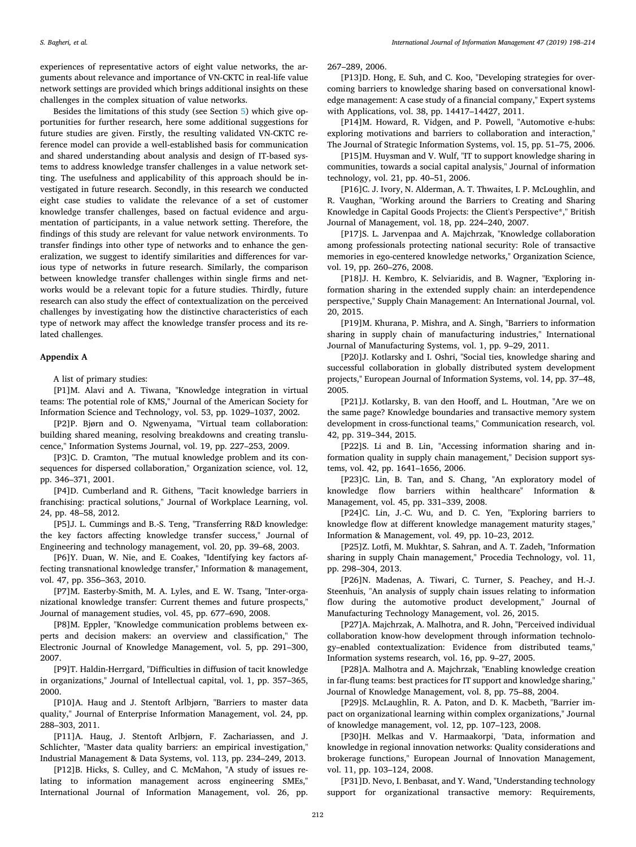experiences of representative actors of eight value networks, the arguments about relevance and importance of VN-CKTC in real-life value network settings are provided which brings additional insights on these challenges in the complex situation of value networks.

Besides the limitations of this study (see Section [5\)](#page-9-0) which give opportunities for further research, here some additional suggestions for future studies are given. Firstly, the resulting validated VN-CKTC reference model can provide a well-established basis for communication and shared understanding about analysis and design of IT-based systems to address knowledge transfer challenges in a value network setting. The usefulness and applicability of this approach should be investigated in future research. Secondly, in this research we conducted eight case studies to validate the relevance of a set of customer knowledge transfer challenges, based on factual evidence and argumentation of participants, in a value network setting. Therefore, the findings of this study are relevant for value network environments. To transfer findings into other type of networks and to enhance the generalization, we suggest to identify similarities and differences for various type of networks in future research. Similarly, the comparison between knowledge transfer challenges within single firms and networks would be a relevant topic for a future studies. Thirdly, future research can also study the effect of contextualization on the perceived challenges by investigating how the distinctive characteristics of each type of network may affect the knowledge transfer process and its related challenges.

#### **Appendix A**

A list of primary studies:

[P1]M. Alavi and A. Tiwana, "Knowledge integration in virtual teams: The potential role of KMS," Journal of the American Society for Information Science and Technology, vol. 53, pp. 1029–1037, 2002.

[P2]P. Bjørn and O. Ngwenyama, "Virtual team collaboration: building shared meaning, resolving breakdowns and creating translucence," Information Systems Journal, vol. 19, pp. 227–253, 2009.

[P3]C. D. Cramton, "The mutual knowledge problem and its consequences for dispersed collaboration," Organization science, vol. 12, pp. 346–371, 2001.

[P4]D. Cumberland and R. Githens, "Tacit knowledge barriers in franchising: practical solutions," Journal of Workplace Learning, vol. 24, pp. 48–58, 2012.

[P5]J. L. Cummings and B.-S. Teng, "Transferring R&D knowledge: the key factors affecting knowledge transfer success," Journal of Engineering and technology management, vol. 20, pp. 39–68, 2003.

[P6]Y. Duan, W. Nie, and E. Coakes, "Identifying key factors affecting transnational knowledge transfer," Information & management, vol. 47, pp. 356–363, 2010.

[P7]M. Easterby-Smith, M. A. Lyles, and E. W. Tsang, "Inter-organizational knowledge transfer: Current themes and future prospects," Journal of management studies, vol. 45, pp. 677–690, 2008.

[P8]M. Eppler, "Knowledge communication problems between experts and decision makers: an overview and classification," The Electronic Journal of Knowledge Management, vol. 5, pp. 291–300, 2007.

[P9]T. Haldin-Herrgard, "Difficulties in diffusion of tacit knowledge in organizations," Journal of Intellectual capital, vol. 1, pp. 357–365, 2000.

[P10]A. Haug and J. Stentoft Arlbjørn, "Barriers to master data quality," Journal of Enterprise Information Management, vol. 24, pp. 288–303, 2011.

[P11]A. Haug, J. Stentoft Arlbjørn, F. Zachariassen, and J. Schlichter, "Master data quality barriers: an empirical investigation," Industrial Management & Data Systems, vol. 113, pp. 234–249, 2013.

[P12]B. Hicks, S. Culley, and C. McMahon, "A study of issues relating to information management across engineering SMEs," International Journal of Information Management, vol. 26, pp.

267–289, 2006.

[P13]D. Hong, E. Suh, and C. Koo, "Developing strategies for overcoming barriers to knowledge sharing based on conversational knowledge management: A case study of a financial company," Expert systems with Applications, vol. 38, pp. 14417–14427, 2011.

[P14]M. Howard, R. Vidgen, and P. Powell, "Automotive e-hubs: exploring motivations and barriers to collaboration and interaction," The Journal of Strategic Information Systems, vol. 15, pp. 51–75, 2006.

[P15]M. Huysman and V. Wulf, "IT to support knowledge sharing in communities, towards a social capital analysis," Journal of information technology, vol. 21, pp. 40–51, 2006.

[P16]C. J. Ivory, N. Alderman, A. T. Thwaites, I. P. McLoughlin, and R. Vaughan, "Working around the Barriers to Creating and Sharing Knowledge in Capital Goods Projects: the Client's Perspective\*," British Journal of Management, vol. 18, pp. 224–240, 2007.

[P17]S. L. Jarvenpaa and A. Majchrzak, "Knowledge collaboration among professionals protecting national security: Role of transactive memories in ego-centered knowledge networks," Organization Science, vol. 19, pp. 260–276, 2008.

[P18]J. H. Kembro, K. Selviaridis, and B. Wagner, "Exploring information sharing in the extended supply chain: an interdependence perspective," Supply Chain Management: An International Journal, vol. 20, 2015.

[P19]M. Khurana, P. Mishra, and A. Singh, "Barriers to information sharing in supply chain of manufacturing industries," International Journal of Manufacturing Systems, vol. 1, pp. 9–29, 2011.

[P20]J. Kotlarsky and I. Oshri, "Social ties, knowledge sharing and successful collaboration in globally distributed system development projects," European Journal of Information Systems, vol. 14, pp. 37–48, 2005.

[P21]J. Kotlarsky, B. van den Hooff, and L. Houtman, "Are we on the same page? Knowledge boundaries and transactive memory system development in cross-functional teams," Communication research, vol. 42, pp. 319–344, 2015.

[P22]S. Li and B. Lin, "Accessing information sharing and information quality in supply chain management," Decision support systems, vol. 42, pp. 1641–1656, 2006.

[P23]C. Lin, B. Tan, and S. Chang, "An exploratory model of knowledge flow barriers within healthcare" Information & Management, vol. 45, pp. 331–339, 2008.

[P24]C. Lin, J.-C. Wu, and D. C. Yen, "Exploring barriers to knowledge flow at different knowledge management maturity stages," Information & Management, vol. 49, pp. 10–23, 2012.

[P25]Z. Lotfi, M. Mukhtar, S. Sahran, and A. T. Zadeh, "Information sharing in supply Chain management," Procedia Technology, vol. 11, pp. 298–304, 2013.

[P26]N. Madenas, A. Tiwari, C. Turner, S. Peachey, and H.-J. Steenhuis, "An analysis of supply chain issues relating to information flow during the automotive product development," Journal of Manufacturing Technology Management, vol. 26, 2015.

[P27]A. Majchrzak, A. Malhotra, and R. John, "Perceived individual collaboration know-how development through information technology–enabled contextualization: Evidence from distributed teams," Information systems research, vol. 16, pp. 9–27, 2005.

[P28]A. Malhotra and A. Majchrzak, "Enabling knowledge creation in far-flung teams: best practices for IT support and knowledge sharing," Journal of Knowledge Management, vol. 8, pp. 75–88, 2004.

[P29]S. McLaughlin, R. A. Paton, and D. K. Macbeth, "Barrier impact on organizational learning within complex organizations," Journal of knowledge management, vol. 12, pp. 107–123, 2008.

[P30]H. Melkas and V. Harmaakorpi, "Data, information and knowledge in regional innovation networks: Quality considerations and brokerage functions," European Journal of Innovation Management, vol. 11, pp. 103–124, 2008.

[P31]D. Nevo, I. Benbasat, and Y. Wand, "Understanding technology support for organizational transactive memory: Requirements,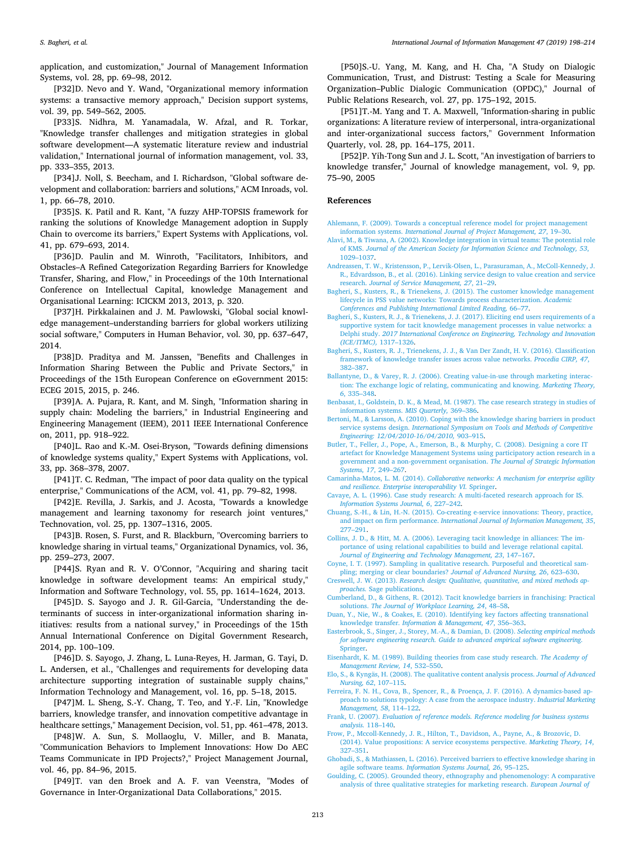application, and customization," Journal of Management Information Systems, vol. 28, pp. 69–98, 2012.

[P32]D. Nevo and Y. Wand, "Organizational memory information systems: a transactive memory approach," Decision support systems, vol. 39, pp. 549–562, 2005.

[P33]S. Nidhra, M. Yanamadala, W. Afzal, and R. Torkar, "Knowledge transfer challenges and mitigation strategies in global software development—A systematic literature review and industrial validation," International journal of information management, vol. 33, pp. 333–355, 2013.

[P34]J. Noll, S. Beecham, and I. Richardson, "Global software development and collaboration: barriers and solutions," ACM Inroads, vol. 1, pp. 66–78, 2010.

[P35]S. K. Patil and R. Kant, "A fuzzy AHP-TOPSIS framework for ranking the solutions of Knowledge Management adoption in Supply Chain to overcome its barriers," Expert Systems with Applications, vol. 41, pp. 679–693, 2014.

[P36]D. Paulin and M. Winroth, "Facilitators, Inhibitors, and Obstacles–A Refined Categorization Regarding Barriers for Knowledge Transfer, Sharing, and Flow," in Proceedings of the 10th International Conference on Intellectual Capital, knowledge Management and Organisational Learning: ICICKM 2013, 2013, p. 320.

[P37]H. Pirkkalainen and J. M. Pawlowski, "Global social knowledge management–understanding barriers for global workers utilizing social software," Computers in Human Behavior, vol. 30, pp. 637–647, 2014.

[P38]D. Praditya and M. Janssen, "Benefits and Challenges in Information Sharing Between the Public and Private Sectors," in Proceedings of the 15th European Conference on eGovernment 2015: ECEG 2015, 2015, p. 246.

[P39]A. A. Pujara, R. Kant, and M. Singh, "Information sharing in supply chain: Modeling the barriers," in Industrial Engineering and Engineering Management (IEEM), 2011 IEEE International Conference on, 2011, pp. 918–922.

[P40]L. Rao and K.-M. Osei-Bryson, "Towards defining dimensions of knowledge systems quality," Expert Systems with Applications, vol. 33, pp. 368–378, 2007.

[P41]T. C. Redman, "The impact of poor data quality on the typical enterprise," Communications of the ACM, vol. 41, pp. 79–82, 1998.

[P42]E. Revilla, J. Sarkis, and J. Acosta, "Towards a knowledge management and learning taxonomy for research joint ventures," Technovation, vol. 25, pp. 1307–1316, 2005.

[P43]B. Rosen, S. Furst, and R. Blackburn, "Overcoming barriers to knowledge sharing in virtual teams," Organizational Dynamics, vol. 36, pp. 259–273, 2007.

[P44]S. Ryan and R. V. O'Connor, "Acquiring and sharing tacit knowledge in software development teams: An empirical study," Information and Software Technology, vol. 55, pp. 1614–1624, 2013.

[P45]D. S. Sayogo and J. R. Gil-Garcia, "Understanding the determinants of success in inter-organizational information sharing initiatives: results from a national survey," in Proceedings of the 15th Annual International Conference on Digital Government Research, 2014, pp. 100–109.

[P46]D. S. Sayogo, J. Zhang, L. Luna-Reyes, H. Jarman, G. Tayi, D. L. Andersen, et al., "Challenges and requirements for developing data architecture supporting integration of sustainable supply chains," Information Technology and Management, vol. 16, pp. 5–18, 2015.

[P47]M. L. Sheng, S.-Y. Chang, T. Teo, and Y.-F. Lin, "Knowledge barriers, knowledge transfer, and innovation competitive advantage in healthcare settings," Management Decision, vol. 51, pp. 461–478, 2013.

[P48]W. A. Sun, S. Mollaoglu, V. Miller, and B. Manata, "Communication Behaviors to Implement Innovations: How Do AEC Teams Communicate in IPD Projects?," Project Management Journal, vol. 46, pp. 84–96, 2015.

[P49]T. van den Broek and A. F. van Veenstra, "Modes of Governance in Inter-Organizational Data Collaborations," 2015.

[P50]S.-U. Yang, M. Kang, and H. Cha, "A Study on Dialogic Communication, Trust, and Distrust: Testing a Scale for Measuring Organization–Public Dialogic Communication (OPDC)," Journal of Public Relations Research, vol. 27, pp. 175–192, 2015.

[P51]T.-M. Yang and T. A. Maxwell, "Information-sharing in public organizations: A literature review of interpersonal, intra-organizational and inter-organizational success factors," Government Information Quarterly, vol. 28, pp. 164–175, 2011.

[P52]P. Yih-Tong Sun and J. L. Scott, "An investigation of barriers to knowledge transfer," Journal of knowledge management, vol. 9, pp. 75–90, 2005

#### **References**

- <span id="page-16-7"></span>[Ahlemann, F. \(2009\). Towards a conceptual reference model for project management](http://refhub.elsevier.com/S0268-4012(18)30955-1/sbref0005) information systems. *[International Journal of Project Management, 27](http://refhub.elsevier.com/S0268-4012(18)30955-1/sbref0005)*, 19–30.
- <span id="page-16-22"></span>[Alavi, M., & Tiwana, A. \(2002\). Knowledge integration in virtual teams: The potential role](http://refhub.elsevier.com/S0268-4012(18)30955-1/sbref0010) of KMS. *[Journal of the American Society for Information Science and Technology, 53](http://refhub.elsevier.com/S0268-4012(18)30955-1/sbref0010)*, [1029–1037](http://refhub.elsevier.com/S0268-4012(18)30955-1/sbref0010).
- <span id="page-16-21"></span>[Andreassen, T. W., Kristensson, P., Lervik-Olsen, L., Parasuraman, A., McColl-Kennedy, J.](http://refhub.elsevier.com/S0268-4012(18)30955-1/sbref0015) [R., Edvardsson, B., et al. \(2016\). Linking service design to value creation and service](http://refhub.elsevier.com/S0268-4012(18)30955-1/sbref0015) research. *[Journal of Service Management, 27](http://refhub.elsevier.com/S0268-4012(18)30955-1/sbref0015)*, 21–29.
- <span id="page-16-3"></span>[Bagheri, S., Kusters, R., & Trienekens, J. \(2015\). The customer knowledge management](http://refhub.elsevier.com/S0268-4012(18)30955-1/sbref0020) [lifecycle in PSS value networks: Towards process characterization.](http://refhub.elsevier.com/S0268-4012(18)30955-1/sbref0020) *Academic [Conferences and Publishing International Limited Reading,](http://refhub.elsevier.com/S0268-4012(18)30955-1/sbref0020)* 66–77.
- <span id="page-16-25"></span>[Bagheri, S., Kusters, R. J., & Trienekens, J. J. \(2017\). Eliciting end users requirements of a](http://refhub.elsevier.com/S0268-4012(18)30955-1/sbref0025) [supportive system for tacit knowledge management processes in value networks: a](http://refhub.elsevier.com/S0268-4012(18)30955-1/sbref0025) Delphi study. *[2017 International Conference on Engineering, Technology and Innovation](http://refhub.elsevier.com/S0268-4012(18)30955-1/sbref0025) [\(ICE/ITMC\),](http://refhub.elsevier.com/S0268-4012(18)30955-1/sbref0025)* 1317–1326.
- <span id="page-16-12"></span>[Bagheri, S., Kusters, R. J., Trienekens, J. J., & Van Der Zandt, H. V. \(2016\). Classification](http://refhub.elsevier.com/S0268-4012(18)30955-1/sbref0030) [framework of knowledge transfer issues across value networks.](http://refhub.elsevier.com/S0268-4012(18)30955-1/sbref0030) *Procedia CIRP, 47*, [382–387](http://refhub.elsevier.com/S0268-4012(18)30955-1/sbref0030).
- <span id="page-16-2"></span>[Ballantyne, D., & Varey, R. J. \(2006\). Creating value-in-use through marketing interac](http://refhub.elsevier.com/S0268-4012(18)30955-1/sbref0035)[tion: The exchange logic of relating, communicating and knowing.](http://refhub.elsevier.com/S0268-4012(18)30955-1/sbref0035) *Marketing Theory, 6*[, 335–348.](http://refhub.elsevier.com/S0268-4012(18)30955-1/sbref0035)
- <span id="page-16-14"></span>[Benbasat, I., Goldstein, D. K., & Mead, M. \(1987\). The case research strategy in studies of](http://refhub.elsevier.com/S0268-4012(18)30955-1/sbref0040) [information systems.](http://refhub.elsevier.com/S0268-4012(18)30955-1/sbref0040) *MIS Quarterly,* 369–386.
- <span id="page-16-4"></span>[Bertoni, M., & Larsson, A. \(2010\). Coping with the knowledge sharing barriers in product](http://refhub.elsevier.com/S0268-4012(18)30955-1/sbref0045) service systems design. *[International Symposium on Tools and Methods of Competitive](http://refhub.elsevier.com/S0268-4012(18)30955-1/sbref0045) [Engineering: 12/04/2010-16/04/2010,](http://refhub.elsevier.com/S0268-4012(18)30955-1/sbref0045)* 903–915.
- <span id="page-16-24"></span>[Butler, T., Feller, J., Pope, A., Emerson, B., & Murphy, C. \(2008\). Designing a core IT](http://refhub.elsevier.com/S0268-4012(18)30955-1/sbref0050) [artefact for Knowledge Management Systems using participatory action research in a](http://refhub.elsevier.com/S0268-4012(18)30955-1/sbref0050) [government and a non-government organisation.](http://refhub.elsevier.com/S0268-4012(18)30955-1/sbref0050) *The Journal of Strategic Information [Systems, 17](http://refhub.elsevier.com/S0268-4012(18)30955-1/sbref0050)*, 249–267.
- <span id="page-16-5"></span>Camarinha-Matos, L. M. (2014). *[Collaborative networks: A mechanism for enterprise agility](http://refhub.elsevier.com/S0268-4012(18)30955-1/sbref0055) [and resilience. Enterprise interoperability VI.](http://refhub.elsevier.com/S0268-4012(18)30955-1/sbref0055)* Springer.
- <span id="page-16-19"></span>[Cavaye, A. L. \(1996\). Case study research: A multi-faceted research approach for IS.](http://refhub.elsevier.com/S0268-4012(18)30955-1/sbref0060) *[Information Systems Journal, 6](http://refhub.elsevier.com/S0268-4012(18)30955-1/sbref0060)*, 227–242.
- <span id="page-16-0"></span>[Chuang, S.-H., & Lin, H.-N. \(2015\). Co-creating e-service innovations: Theory, practice,](http://refhub.elsevier.com/S0268-4012(18)30955-1/sbref0065) and impact on firm performance. *[International Journal of Information Management, 35](http://refhub.elsevier.com/S0268-4012(18)30955-1/sbref0065)*, [277–291](http://refhub.elsevier.com/S0268-4012(18)30955-1/sbref0065).

<span id="page-16-23"></span>[Collins, J. D., & Hitt, M. A. \(2006\). Leveraging tacit knowledge in alliances: The im](http://refhub.elsevier.com/S0268-4012(18)30955-1/sbref0070)[portance of using relational capabilities to build and leverage relational capital.](http://refhub.elsevier.com/S0268-4012(18)30955-1/sbref0070) *[Journal of Engineering and Technology Management, 23](http://refhub.elsevier.com/S0268-4012(18)30955-1/sbref0070)*, 147–167.

- <span id="page-16-16"></span>[Coyne, I. T. \(1997\). Sampling in qualitative research. Purposeful and theoretical sam](http://refhub.elsevier.com/S0268-4012(18)30955-1/sbref0075)[pling; merging or clear boundaries?](http://refhub.elsevier.com/S0268-4012(18)30955-1/sbref0075) *Journal of Advanced Nursing, 26*, 623–630.
- <span id="page-16-15"></span>Creswell, J. W. (2013). *[Research design: Qualitative, quantitative, and mixed methods ap](http://refhub.elsevier.com/S0268-4012(18)30955-1/sbref0080)proaches.* [Sage publications](http://refhub.elsevier.com/S0268-4012(18)30955-1/sbref0080).
- <span id="page-16-10"></span>[Cumberland, D., & Githens, R. \(2012\). Tacit knowledge barriers in franchising: Practical](http://refhub.elsevier.com/S0268-4012(18)30955-1/sbref0085) solutions. *[The Journal of Workplace Learning, 24](http://refhub.elsevier.com/S0268-4012(18)30955-1/sbref0085)*, 48–58.
- <span id="page-16-9"></span>[Duan, Y., Nie, W., & Coakes, E. \(2010\). Identifying key factors affecting transnational](http://refhub.elsevier.com/S0268-4012(18)30955-1/sbref0090) knowledge transfer. *[Information & Management, 47](http://refhub.elsevier.com/S0268-4012(18)30955-1/sbref0090)*, 356–363.
- <span id="page-16-13"></span>[Easterbrook, S., Singer, J., Storey, M.-A., & Damian, D. \(2008\).](http://refhub.elsevier.com/S0268-4012(18)30955-1/sbref0095) *Selecting empirical methods [for software engineering research. Guide to advanced empirical software engineering](http://refhub.elsevier.com/S0268-4012(18)30955-1/sbref0095)*. [Springer](http://refhub.elsevier.com/S0268-4012(18)30955-1/sbref0095).
- <span id="page-16-18"></span>[Eisenhardt, K. M. \(1989\). Building theories from case study research.](http://refhub.elsevier.com/S0268-4012(18)30955-1/sbref0100) *The Academy of [Management Review, 14](http://refhub.elsevier.com/S0268-4012(18)30955-1/sbref0100)*, 532–550.
- <span id="page-16-20"></span>[Elo, S., & Kyngäs, H. \(2008\). The qualitative content analysis process.](http://refhub.elsevier.com/S0268-4012(18)30955-1/sbref0105) *Journal of Advanced [Nursing, 62](http://refhub.elsevier.com/S0268-4012(18)30955-1/sbref0105)*, 107–115.
- <span id="page-16-17"></span>[Ferreira, F. N. H., Cova, B., Spencer, R., & Proença, J. F. \(2016\). A dynamics-based ap](http://refhub.elsevier.com/S0268-4012(18)30955-1/sbref0110)[proach to solutions typology: A case from the aerospace industry.](http://refhub.elsevier.com/S0268-4012(18)30955-1/sbref0110) *Industrial Marketing [Management, 58](http://refhub.elsevier.com/S0268-4012(18)30955-1/sbref0110)*, 114–122.
- <span id="page-16-8"></span>Frank, U. (2007). *[Evaluation of reference models. Reference modeling for business systems](http://refhub.elsevier.com/S0268-4012(18)30955-1/sbref0115) analysis.* [118–140.](http://refhub.elsevier.com/S0268-4012(18)30955-1/sbref0115)
- <span id="page-16-1"></span>[Frow, P., Mccoll-Kennedy, J. R., Hilton, T., Davidson, A., Payne, A., & Brozovic, D.](http://refhub.elsevier.com/S0268-4012(18)30955-1/sbref0120) [\(2014\). Value propositions: A service ecosystems perspective.](http://refhub.elsevier.com/S0268-4012(18)30955-1/sbref0120) *Marketing Theory, 14*, [327–351](http://refhub.elsevier.com/S0268-4012(18)30955-1/sbref0120).
- <span id="page-16-6"></span>[Ghobadi, S., & Mathiassen, L. \(2016\). Perceived barriers to effective knowledge sharing in](http://refhub.elsevier.com/S0268-4012(18)30955-1/sbref0125) agile software teams. *[Information Systems Journal, 26](http://refhub.elsevier.com/S0268-4012(18)30955-1/sbref0125)*, 95–125.
- <span id="page-16-11"></span>[Goulding, C. \(2005\). Grounded theory, ethnography and phenomenology: A comparative](http://refhub.elsevier.com/S0268-4012(18)30955-1/sbref0130) [analysis of three qualitative strategies for marketing research.](http://refhub.elsevier.com/S0268-4012(18)30955-1/sbref0130) *European Journal of*